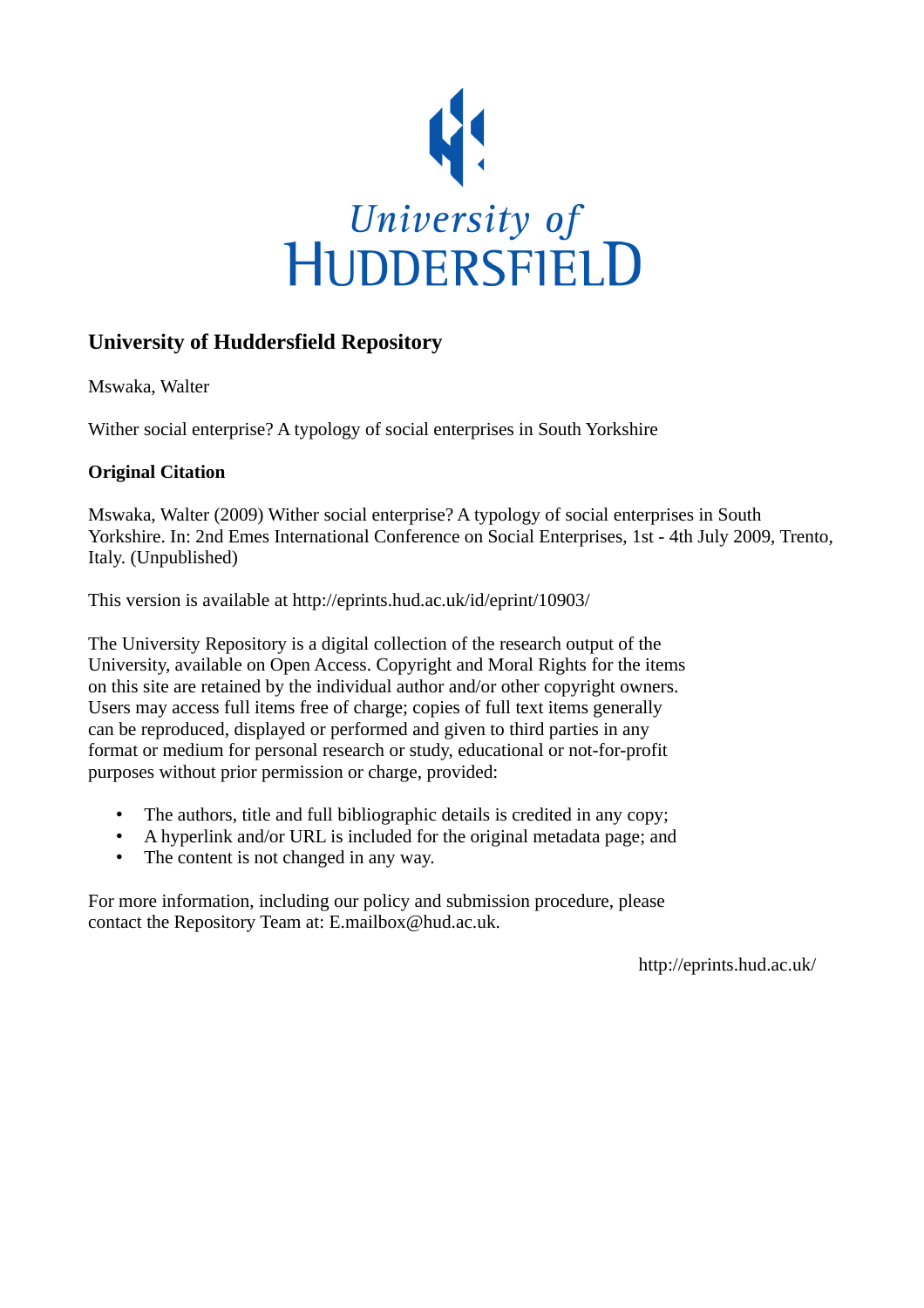

# **University of Huddersfield Repository**

Mswaka, Walter

Wither social enterprise? A typology of social enterprises in South Yorkshire

# **Original Citation**

Mswaka, Walter (2009) Wither social enterprise? A typology of social enterprises in South Yorkshire. In: 2nd Emes International Conference on Social Enterprises, 1st - 4th July 2009, Trento, Italy. (Unpublished)

This version is available at http://eprints.hud.ac.uk/id/eprint/10903/

The University Repository is a digital collection of the research output of the University, available on Open Access. Copyright and Moral Rights for the items on this site are retained by the individual author and/or other copyright owners. Users may access full items free of charge; copies of full text items generally can be reproduced, displayed or performed and given to third parties in any format or medium for personal research or study, educational or not-for-profit purposes without prior permission or charge, provided:

- The authors, title and full bibliographic details is credited in any copy;
- A hyperlink and/or URL is included for the original metadata page; and
- The content is not changed in any way.

For more information, including our policy and submission procedure, please contact the Repository Team at: E.mailbox@hud.ac.uk.

http://eprints.hud.ac.uk/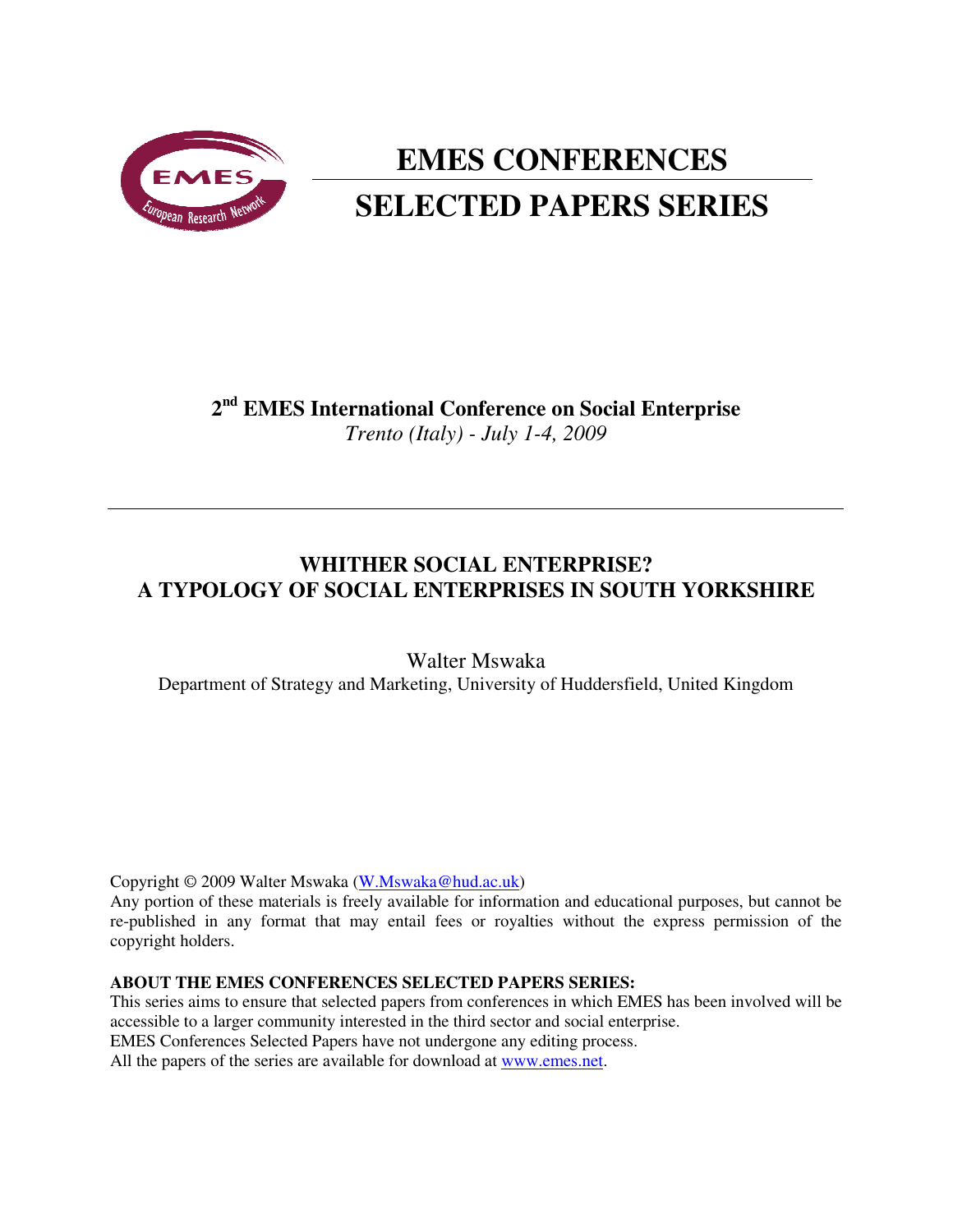

# **EMES CONFERENCES SELECTED PAPERS SERIES**

# **2 nd EMES International Conference on Social Enterprise** *Trento (Italy) - July 1-4, 2009*

# **WHITHER SOCIAL ENTERPRISE? A TYPOLOGY OF SOCIAL ENTERPRISES IN SOUTH YORKSHIRE**

Walter Mswaka Department of Strategy and Marketing, University of Huddersfield, United Kingdom

Copyright © 2009 Walter Mswaka (W.Mswaka@hud.ac.uk)

Any portion of these materials is freely available for information and educational purposes, but cannot be re-published in any format that may entail fees or royalties without the express permission of the copyright holders.

#### **ABOUT THE EMES CONFERENCES SELECTED PAPERS SERIES:**

This series aims to ensure that selected papers from conferences in which EMES has been involved will be accessible to a larger community interested in the third sector and social enterprise. EMES Conferences Selected Papers have not undergone any editing process.

All the papers of the series are available for download at www.emes.net.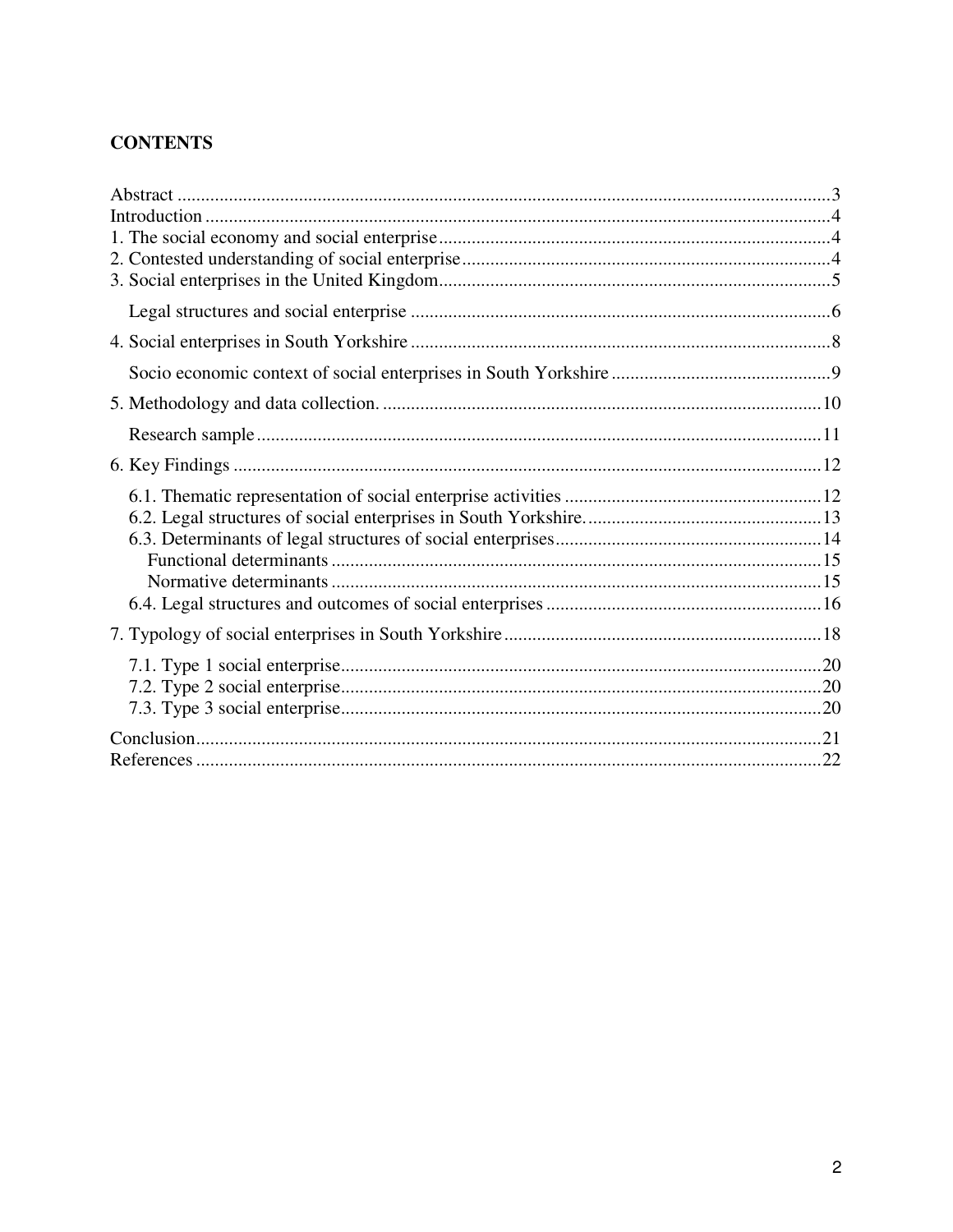# **CONTENTS**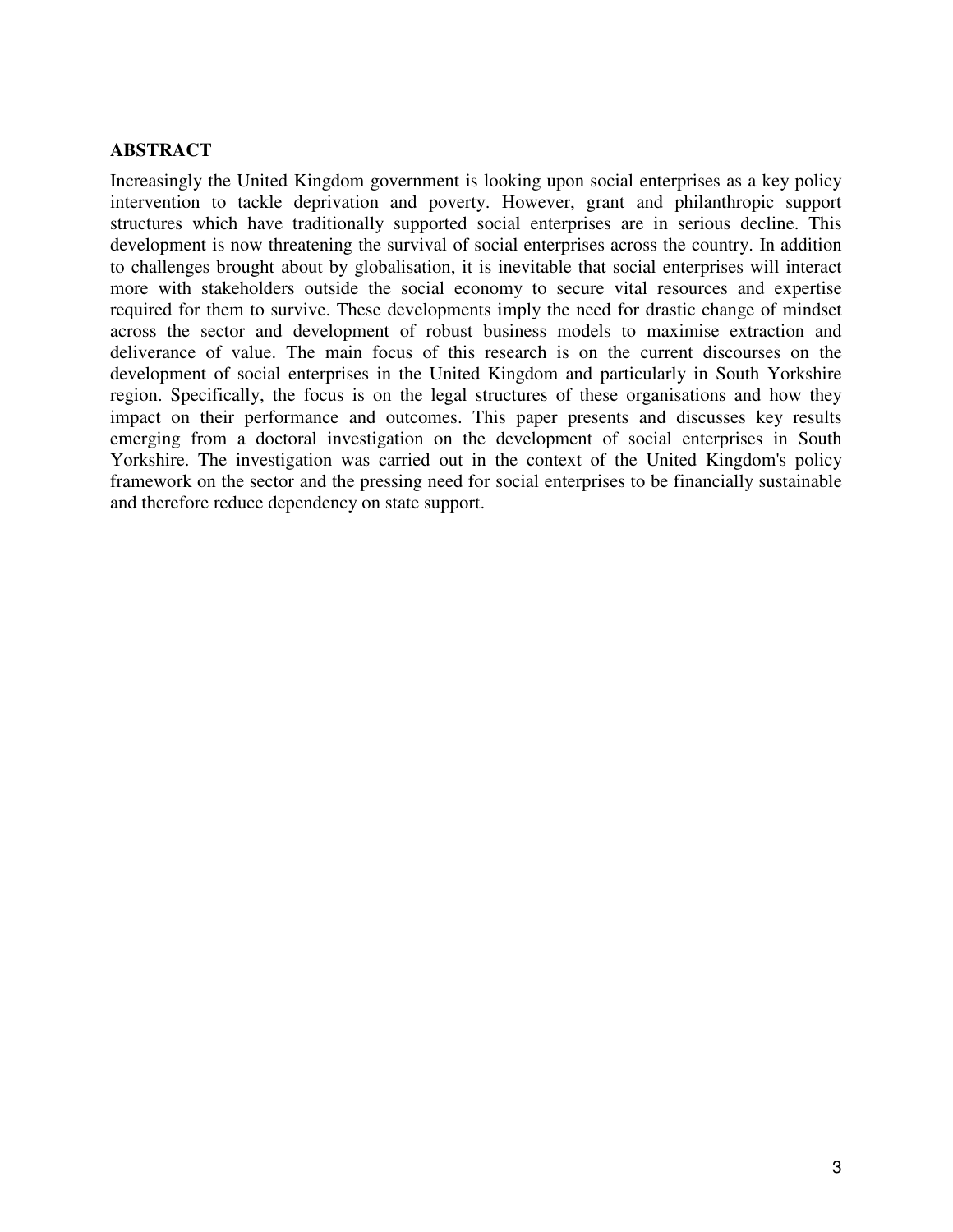## **ABSTRACT**

Increasingly the United Kingdom government is looking upon social enterprises as a key policy intervention to tackle deprivation and poverty. However, grant and philanthropic support structures which have traditionally supported social enterprises are in serious decline. This development is now threatening the survival of social enterprises across the country. In addition to challenges brought about by globalisation, it is inevitable that social enterprises will interact more with stakeholders outside the social economy to secure vital resources and expertise required for them to survive. These developments imply the need for drastic change of mindset across the sector and development of robust business models to maximise extraction and deliverance of value. The main focus of this research is on the current discourses on the development of social enterprises in the United Kingdom and particularly in South Yorkshire region. Specifically, the focus is on the legal structures of these organisations and how they impact on their performance and outcomes. This paper presents and discusses key results emerging from a doctoral investigation on the development of social enterprises in South Yorkshire. The investigation was carried out in the context of the United Kingdom's policy framework on the sector and the pressing need for social enterprises to be financially sustainable and therefore reduce dependency on state support.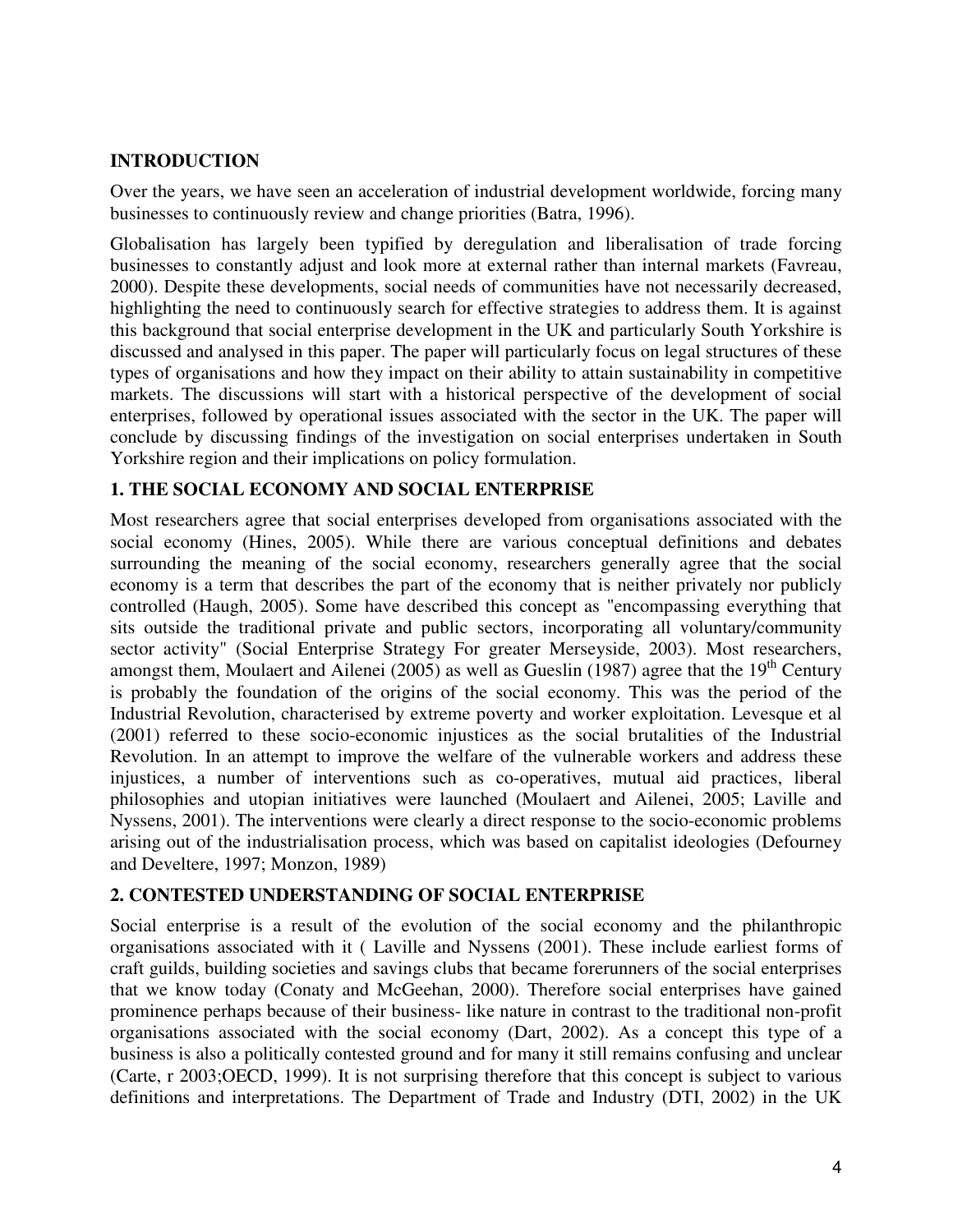# **INTRODUCTION**

Over the years, we have seen an acceleration of industrial development worldwide, forcing many businesses to continuously review and change priorities (Batra, 1996).

Globalisation has largely been typified by deregulation and liberalisation of trade forcing businesses to constantly adjust and look more at external rather than internal markets (Favreau, 2000). Despite these developments, social needs of communities have not necessarily decreased, highlighting the need to continuously search for effective strategies to address them. It is against this background that social enterprise development in the UK and particularly South Yorkshire is discussed and analysed in this paper. The paper will particularly focus on legal structures of these types of organisations and how they impact on their ability to attain sustainability in competitive markets. The discussions will start with a historical perspective of the development of social enterprises, followed by operational issues associated with the sector in the UK. The paper will conclude by discussing findings of the investigation on social enterprises undertaken in South Yorkshire region and their implications on policy formulation.

# **1. THE SOCIAL ECONOMY AND SOCIAL ENTERPRISE**

Most researchers agree that social enterprises developed from organisations associated with the social economy (Hines, 2005). While there are various conceptual definitions and debates surrounding the meaning of the social economy, researchers generally agree that the social economy is a term that describes the part of the economy that is neither privately nor publicly controlled (Haugh, 2005). Some have described this concept as "encompassing everything that sits outside the traditional private and public sectors, incorporating all voluntary/community sector activity" (Social Enterprise Strategy For greater Merseyside, 2003). Most researchers, amongst them, Moulaert and Ailenei (2005) as well as Gueslin (1987) agree that the 19<sup>th</sup> Century is probably the foundation of the origins of the social economy. This was the period of the Industrial Revolution, characterised by extreme poverty and worker exploitation. Levesque et al (2001) referred to these socio-economic injustices as the social brutalities of the Industrial Revolution. In an attempt to improve the welfare of the vulnerable workers and address these injustices, a number of interventions such as co-operatives, mutual aid practices, liberal philosophies and utopian initiatives were launched (Moulaert and Ailenei, 2005; Laville and Nyssens, 2001). The interventions were clearly a direct response to the socio-economic problems arising out of the industrialisation process, which was based on capitalist ideologies (Defourney and Develtere, 1997; Monzon, 1989)

# **2. CONTESTED UNDERSTANDING OF SOCIAL ENTERPRISE**

Social enterprise is a result of the evolution of the social economy and the philanthropic organisations associated with it ( Laville and Nyssens (2001). These include earliest forms of craft guilds, building societies and savings clubs that became forerunners of the social enterprises that we know today (Conaty and McGeehan, 2000). Therefore social enterprises have gained prominence perhaps because of their business- like nature in contrast to the traditional non-profit organisations associated with the social economy (Dart, 2002). As a concept this type of a business is also a politically contested ground and for many it still remains confusing and unclear (Carte, r 2003;OECD, 1999). It is not surprising therefore that this concept is subject to various definitions and interpretations. The Department of Trade and Industry (DTI, 2002) in the UK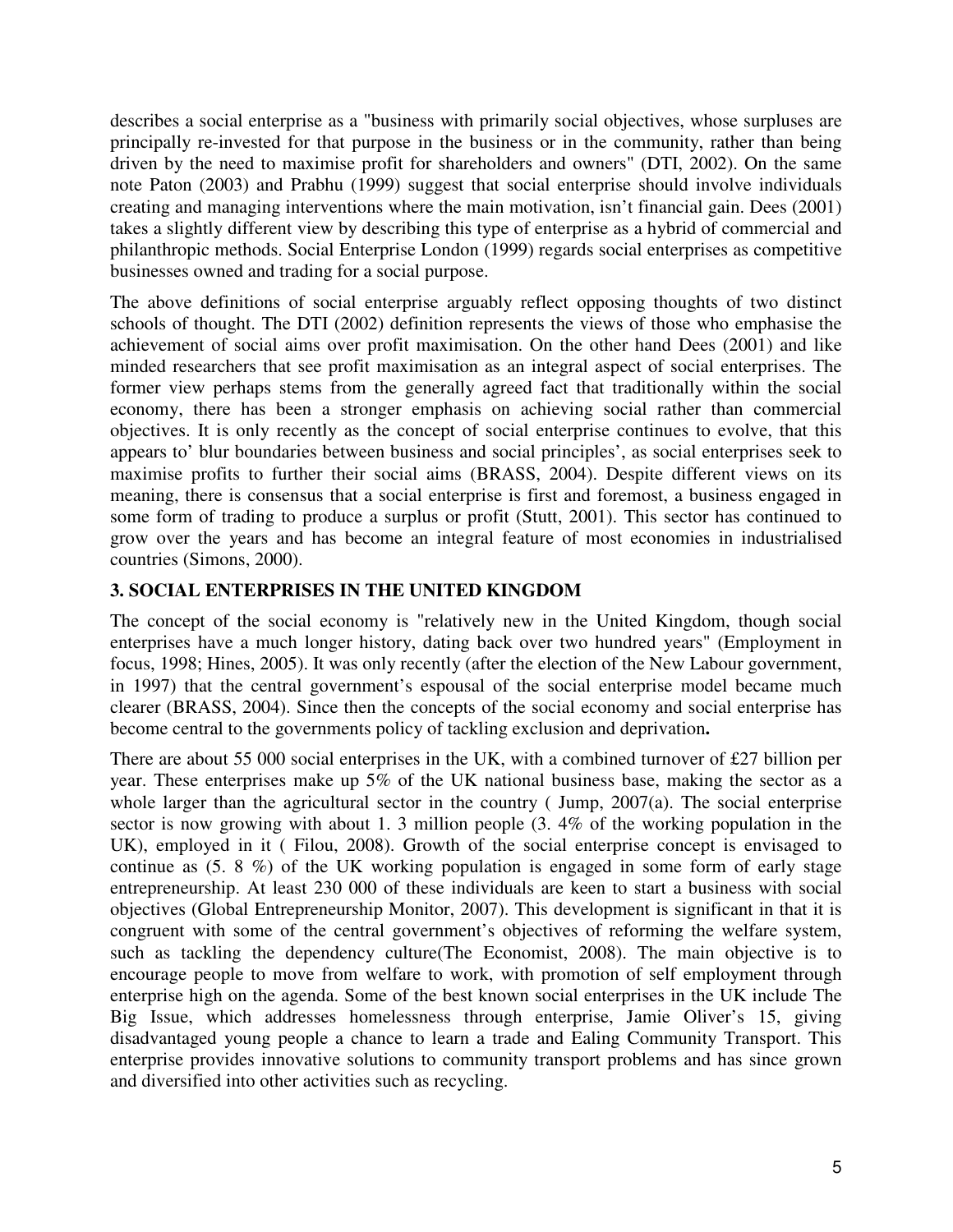describes a social enterprise as a "business with primarily social objectives, whose surpluses are principally re-invested for that purpose in the business or in the community, rather than being driven by the need to maximise profit for shareholders and owners" (DTI, 2002). On the same note Paton (2003) and Prabhu (1999) suggest that social enterprise should involve individuals creating and managing interventions where the main motivation, isn't financial gain. Dees (2001) takes a slightly different view by describing this type of enterprise as a hybrid of commercial and philanthropic methods. Social Enterprise London (1999) regards social enterprises as competitive businesses owned and trading for a social purpose.

The above definitions of social enterprise arguably reflect opposing thoughts of two distinct schools of thought. The DTI (2002) definition represents the views of those who emphasise the achievement of social aims over profit maximisation. On the other hand Dees (2001) and like minded researchers that see profit maximisation as an integral aspect of social enterprises. The former view perhaps stems from the generally agreed fact that traditionally within the social economy, there has been a stronger emphasis on achieving social rather than commercial objectives. It is only recently as the concept of social enterprise continues to evolve, that this appears to' blur boundaries between business and social principles', as social enterprises seek to maximise profits to further their social aims (BRASS, 2004). Despite different views on its meaning, there is consensus that a social enterprise is first and foremost, a business engaged in some form of trading to produce a surplus or profit (Stutt, 2001). This sector has continued to grow over the years and has become an integral feature of most economies in industrialised countries (Simons, 2000).

# **3. SOCIAL ENTERPRISES IN THE UNITED KINGDOM**

The concept of the social economy is "relatively new in the United Kingdom, though social enterprises have a much longer history, dating back over two hundred years" (Employment in focus, 1998; Hines, 2005). It was only recently (after the election of the New Labour government, in 1997) that the central government's espousal of the social enterprise model became much clearer (BRASS, 2004). Since then the concepts of the social economy and social enterprise has become central to the governments policy of tackling exclusion and deprivation**.** 

There are about 55 000 social enterprises in the UK, with a combined turnover of £27 billion per year. These enterprises make up 5% of the UK national business base, making the sector as a whole larger than the agricultural sector in the country (Jump, 2007(a). The social enterprise sector is now growing with about 1. 3 million people (3. 4% of the working population in the UK), employed in it ( Filou, 2008). Growth of the social enterprise concept is envisaged to continue as (5. 8 %) of the UK working population is engaged in some form of early stage entrepreneurship. At least 230 000 of these individuals are keen to start a business with social objectives (Global Entrepreneurship Monitor, 2007). This development is significant in that it is congruent with some of the central government's objectives of reforming the welfare system, such as tackling the dependency culture(The Economist, 2008). The main objective is to encourage people to move from welfare to work, with promotion of self employment through enterprise high on the agenda. Some of the best known social enterprises in the UK include The Big Issue, which addresses homelessness through enterprise, Jamie Oliver's 15, giving disadvantaged young people a chance to learn a trade and Ealing Community Transport. This enterprise provides innovative solutions to community transport problems and has since grown and diversified into other activities such as recycling.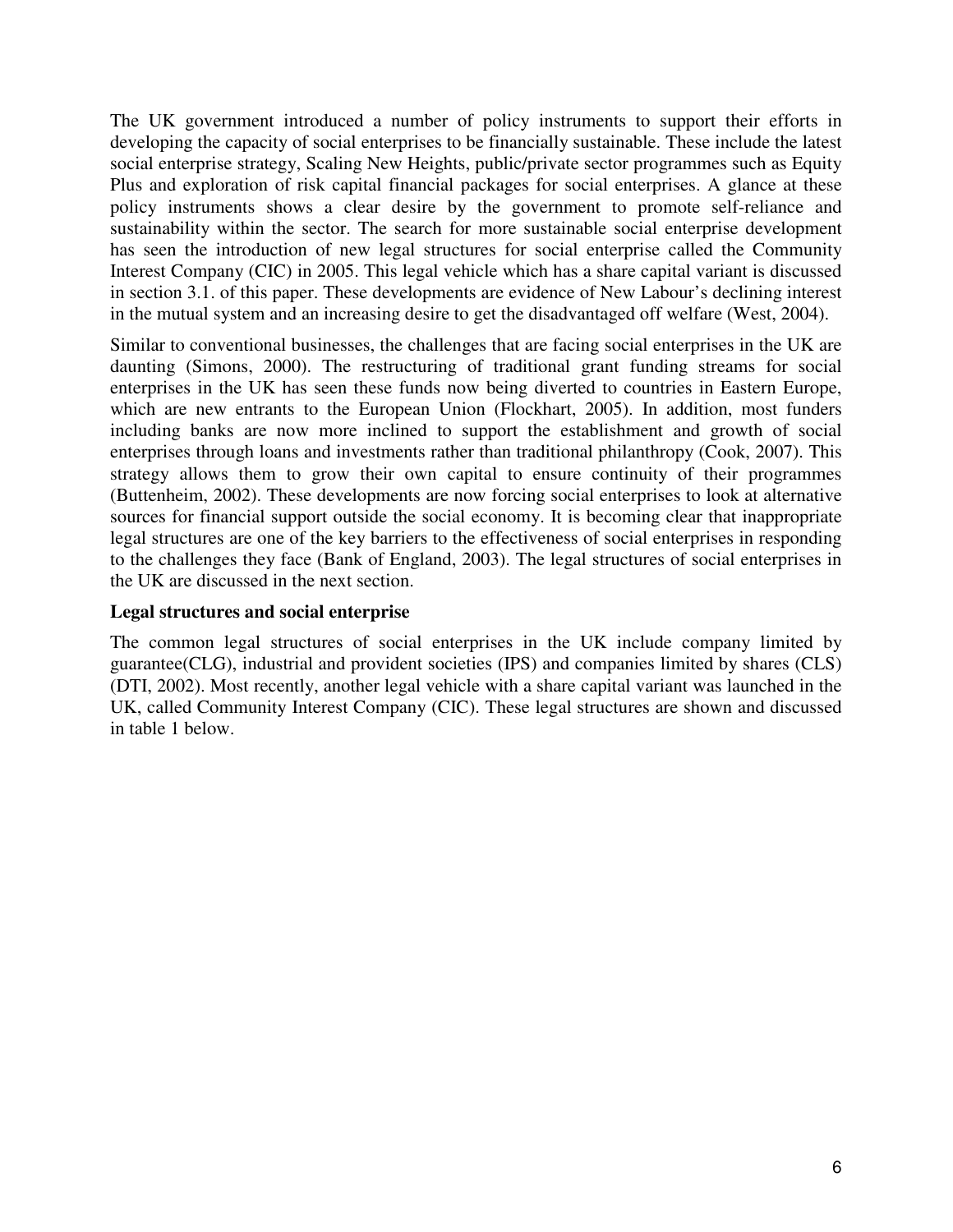The UK government introduced a number of policy instruments to support their efforts in developing the capacity of social enterprises to be financially sustainable. These include the latest social enterprise strategy, Scaling New Heights, public/private sector programmes such as Equity Plus and exploration of risk capital financial packages for social enterprises. A glance at these policy instruments shows a clear desire by the government to promote self-reliance and sustainability within the sector. The search for more sustainable social enterprise development has seen the introduction of new legal structures for social enterprise called the Community Interest Company (CIC) in 2005. This legal vehicle which has a share capital variant is discussed in section 3.1. of this paper. These developments are evidence of New Labour's declining interest in the mutual system and an increasing desire to get the disadvantaged off welfare (West, 2004).

Similar to conventional businesses, the challenges that are facing social enterprises in the UK are daunting (Simons, 2000). The restructuring of traditional grant funding streams for social enterprises in the UK has seen these funds now being diverted to countries in Eastern Europe, which are new entrants to the European Union (Flockhart, 2005). In addition, most funders including banks are now more inclined to support the establishment and growth of social enterprises through loans and investments rather than traditional philanthropy (Cook, 2007). This strategy allows them to grow their own capital to ensure continuity of their programmes (Buttenheim, 2002). These developments are now forcing social enterprises to look at alternative sources for financial support outside the social economy. It is becoming clear that inappropriate legal structures are one of the key barriers to the effectiveness of social enterprises in responding to the challenges they face (Bank of England, 2003). The legal structures of social enterprises in the UK are discussed in the next section.

# **Legal structures and social enterprise**

The common legal structures of social enterprises in the UK include company limited by guarantee(CLG), industrial and provident societies (IPS) and companies limited by shares (CLS) (DTI, 2002). Most recently, another legal vehicle with a share capital variant was launched in the UK, called Community Interest Company (CIC). These legal structures are shown and discussed in table 1 below.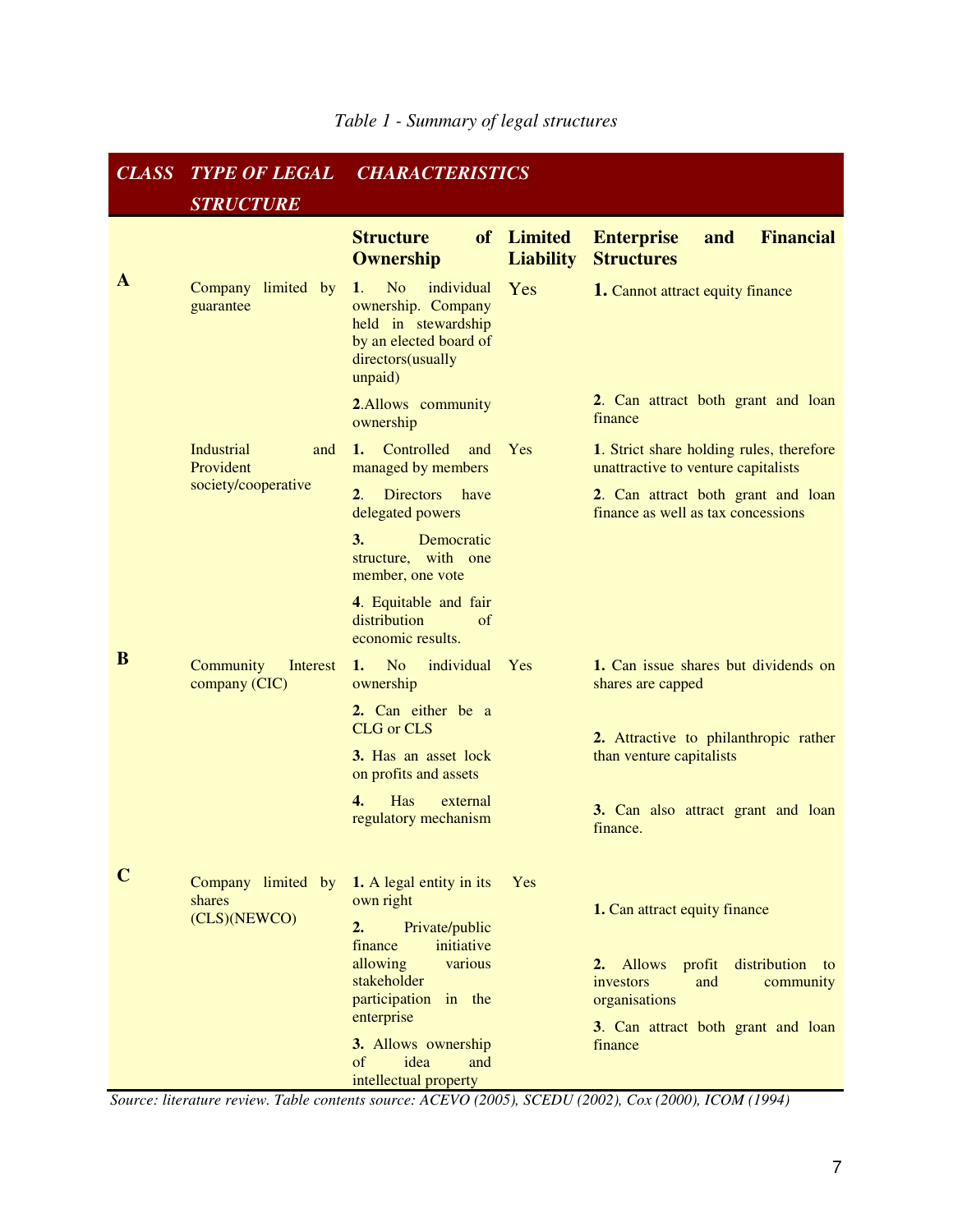| <b>CLASS</b> | <b>TYPE OF LEGAL</b>                         | <b>CHARACTERISTICS</b>                                                                                                                    |                                |                                                                                          |
|--------------|----------------------------------------------|-------------------------------------------------------------------------------------------------------------------------------------------|--------------------------------|------------------------------------------------------------------------------------------|
|              | <b>STRUCTURE</b>                             |                                                                                                                                           |                                |                                                                                          |
|              |                                              | <b>Structure</b><br><b>Ownership</b>                                                                                                      | of Limited<br><b>Liability</b> | <b>Financial</b><br><b>Enterprise</b><br>and<br><b>Structures</b>                        |
| A            | Company limited by<br>guarantee              | individual<br>1.<br>N <sub>o</sub><br>ownership. Company<br>held in stewardship<br>by an elected board of<br>directors(usually<br>unpaid) | Yes                            | <b>1.</b> Cannot attract equity finance                                                  |
|              |                                              | 2.Allows community<br>ownership                                                                                                           |                                | 2. Can attract both grant and loan<br>finance                                            |
|              | Industrial<br>and<br>Provident               | Controlled<br>$1_{\sim}$<br>and<br>managed by members                                                                                     | Yes                            | 1. Strict share holding rules, therefore<br>unattractive to venture capitalists          |
|              | society/cooperative                          | <b>Directors</b><br>$2_{\cdot}$<br>have<br>delegated powers                                                                               |                                | 2. Can attract both grant and loan<br>finance as well as tax concessions                 |
|              |                                              | 3.<br>Democratic<br>structure, with one<br>member, one vote                                                                               |                                |                                                                                          |
|              |                                              | 4. Equitable and fair<br>distribution<br>of<br>economic results.                                                                          |                                |                                                                                          |
| B            | Community<br>Interest<br>company (CIC)       | individual<br>N <sub>o</sub><br>1.<br>ownership                                                                                           | Yes                            | 1. Can issue shares but dividends on<br>shares are capped                                |
|              |                                              | 2. Can either be a<br><b>CLG</b> or CLS                                                                                                   |                                | 2. Attractive to philanthropic rather                                                    |
|              |                                              | 3. Has an asset lock<br>on profits and assets                                                                                             |                                | than venture capitalists                                                                 |
|              |                                              | 4.<br>Has<br>external<br>regulatory mechanism                                                                                             |                                | 3. Can also attract grant and loan<br>finance.                                           |
| $\mathbf C$  | Company limited by<br>shares<br>(CLS)(NEWCO) | 1. A legal entity in its<br>own right<br>Private/public<br>2.                                                                             | Yes                            | 1. Can attract equity finance                                                            |
|              |                                              | initiative<br>finance<br>allowing<br>various<br>stakeholder<br>participation in the<br>enterprise                                         |                                | 2. Allows<br>profit<br>distribution to<br>investors<br>and<br>community<br>organisations |
|              |                                              | 3. Allows ownership<br>idea<br>of<br>and<br>intellectual property                                                                         |                                | 3. Can attract both grant and loan<br>finance                                            |

*Source: literature review. Table contents source: ACEVO (2005), SCEDU (2002), Cox (2000), ICOM (1994)*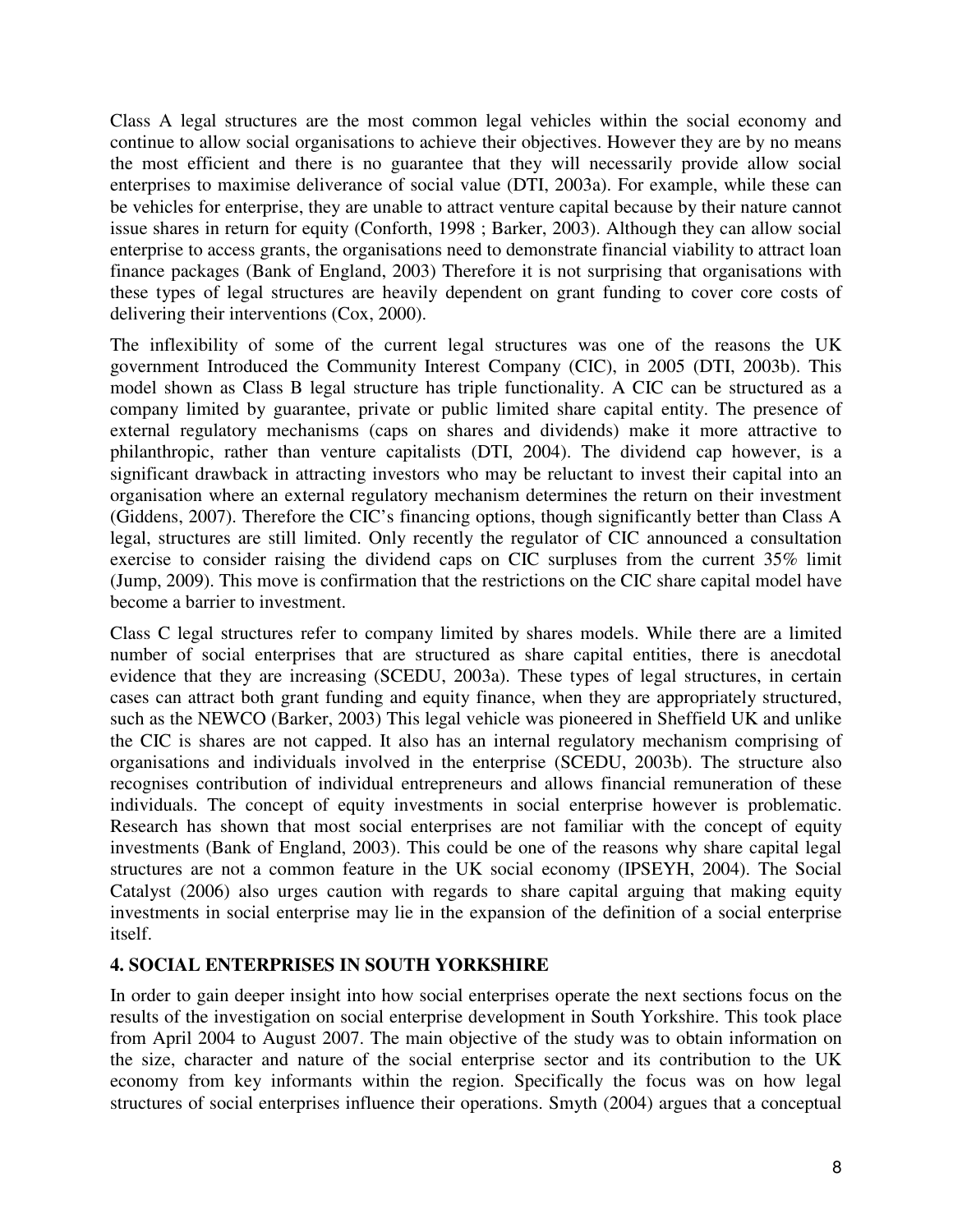Class A legal structures are the most common legal vehicles within the social economy and continue to allow social organisations to achieve their objectives. However they are by no means the most efficient and there is no guarantee that they will necessarily provide allow social enterprises to maximise deliverance of social value (DTI, 2003a). For example, while these can be vehicles for enterprise, they are unable to attract venture capital because by their nature cannot issue shares in return for equity (Conforth, 1998 ; Barker, 2003). Although they can allow social enterprise to access grants, the organisations need to demonstrate financial viability to attract loan finance packages (Bank of England, 2003) Therefore it is not surprising that organisations with these types of legal structures are heavily dependent on grant funding to cover core costs of delivering their interventions (Cox, 2000).

The inflexibility of some of the current legal structures was one of the reasons the UK government Introduced the Community Interest Company (CIC), in 2005 (DTI, 2003b). This model shown as Class B legal structure has triple functionality. A CIC can be structured as a company limited by guarantee, private or public limited share capital entity. The presence of external regulatory mechanisms (caps on shares and dividends) make it more attractive to philanthropic, rather than venture capitalists (DTI, 2004). The dividend cap however, is a significant drawback in attracting investors who may be reluctant to invest their capital into an organisation where an external regulatory mechanism determines the return on their investment (Giddens, 2007). Therefore the CIC's financing options, though significantly better than Class A legal, structures are still limited. Only recently the regulator of CIC announced a consultation exercise to consider raising the dividend caps on CIC surpluses from the current 35% limit (Jump, 2009). This move is confirmation that the restrictions on the CIC share capital model have become a barrier to investment.

Class C legal structures refer to company limited by shares models. While there are a limited number of social enterprises that are structured as share capital entities, there is anecdotal evidence that they are increasing (SCEDU, 2003a). These types of legal structures, in certain cases can attract both grant funding and equity finance, when they are appropriately structured, such as the NEWCO (Barker, 2003) This legal vehicle was pioneered in Sheffield UK and unlike the CIC is shares are not capped. It also has an internal regulatory mechanism comprising of organisations and individuals involved in the enterprise (SCEDU, 2003b). The structure also recognises contribution of individual entrepreneurs and allows financial remuneration of these individuals. The concept of equity investments in social enterprise however is problematic. Research has shown that most social enterprises are not familiar with the concept of equity investments (Bank of England, 2003). This could be one of the reasons why share capital legal structures are not a common feature in the UK social economy (IPSEYH, 2004). The Social Catalyst (2006) also urges caution with regards to share capital arguing that making equity investments in social enterprise may lie in the expansion of the definition of a social enterprise itself.

# **4. SOCIAL ENTERPRISES IN SOUTH YORKSHIRE**

In order to gain deeper insight into how social enterprises operate the next sections focus on the results of the investigation on social enterprise development in South Yorkshire. This took place from April 2004 to August 2007. The main objective of the study was to obtain information on the size, character and nature of the social enterprise sector and its contribution to the UK economy from key informants within the region. Specifically the focus was on how legal structures of social enterprises influence their operations. Smyth (2004) argues that a conceptual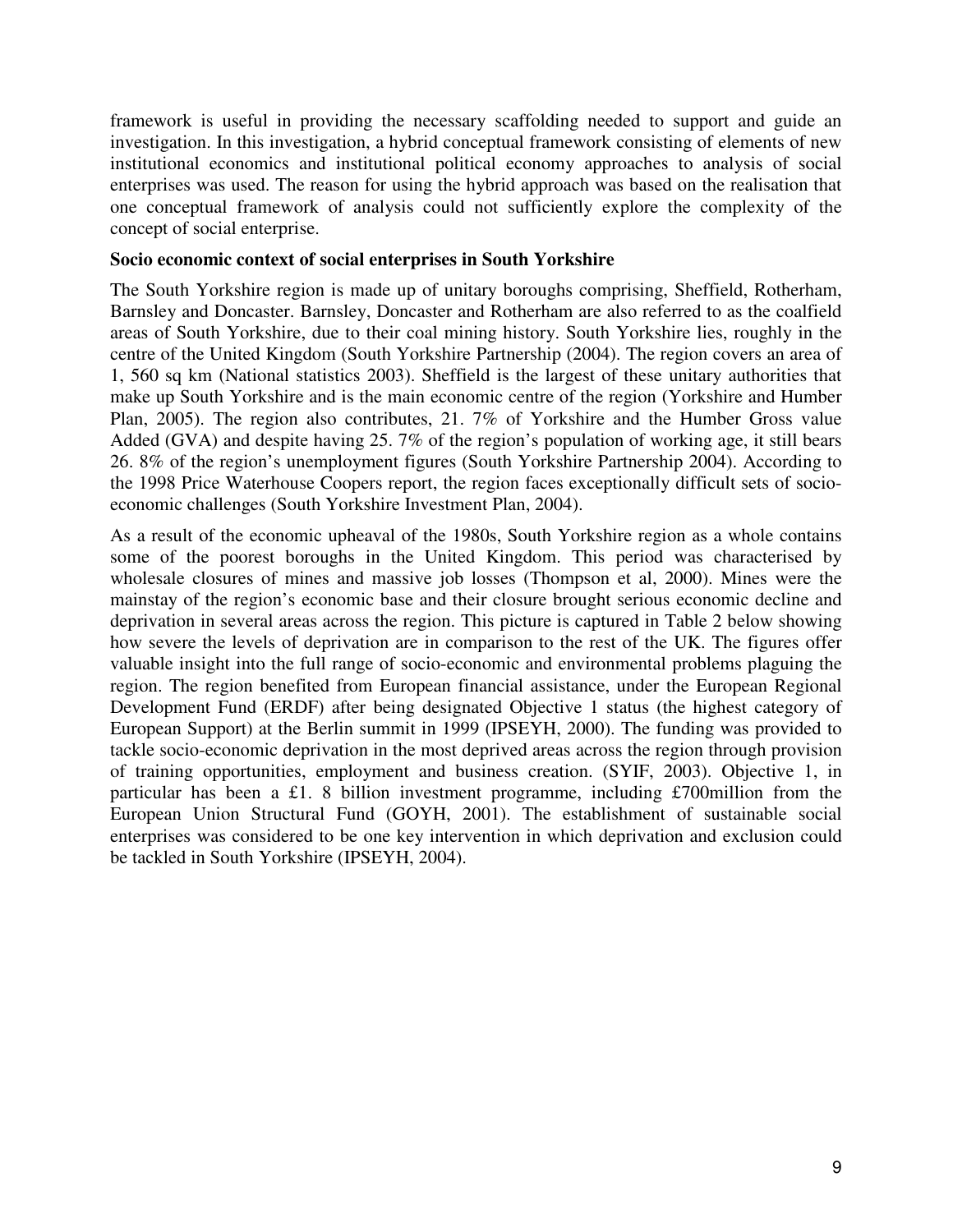framework is useful in providing the necessary scaffolding needed to support and guide an investigation. In this investigation, a hybrid conceptual framework consisting of elements of new institutional economics and institutional political economy approaches to analysis of social enterprises was used. The reason for using the hybrid approach was based on the realisation that one conceptual framework of analysis could not sufficiently explore the complexity of the concept of social enterprise.

#### **Socio economic context of social enterprises in South Yorkshire**

The South Yorkshire region is made up of unitary boroughs comprising, Sheffield, Rotherham, Barnsley and Doncaster. Barnsley, Doncaster and Rotherham are also referred to as the coalfield areas of South Yorkshire, due to their coal mining history. South Yorkshire lies, roughly in the centre of the United Kingdom (South Yorkshire Partnership (2004). The region covers an area of 1, 560 sq km (National statistics 2003). Sheffield is the largest of these unitary authorities that make up South Yorkshire and is the main economic centre of the region (Yorkshire and Humber Plan, 2005). The region also contributes, 21. 7% of Yorkshire and the Humber Gross value Added (GVA) and despite having 25. 7% of the region's population of working age, it still bears 26. 8% of the region's unemployment figures (South Yorkshire Partnership 2004). According to the 1998 Price Waterhouse Coopers report, the region faces exceptionally difficult sets of socioeconomic challenges (South Yorkshire Investment Plan, 2004).

As a result of the economic upheaval of the 1980s, South Yorkshire region as a whole contains some of the poorest boroughs in the United Kingdom. This period was characterised by wholesale closures of mines and massive job losses (Thompson et al, 2000). Mines were the mainstay of the region's economic base and their closure brought serious economic decline and deprivation in several areas across the region. This picture is captured in Table 2 below showing how severe the levels of deprivation are in comparison to the rest of the UK. The figures offer valuable insight into the full range of socio-economic and environmental problems plaguing the region. The region benefited from European financial assistance, under the European Regional Development Fund (ERDF) after being designated Objective 1 status (the highest category of European Support) at the Berlin summit in 1999 (IPSEYH, 2000). The funding was provided to tackle socio-economic deprivation in the most deprived areas across the region through provision of training opportunities, employment and business creation. (SYIF, 2003). Objective 1, in particular has been a £1. 8 billion investment programme, including £700million from the European Union Structural Fund (GOYH, 2001). The establishment of sustainable social enterprises was considered to be one key intervention in which deprivation and exclusion could be tackled in South Yorkshire (IPSEYH, 2004).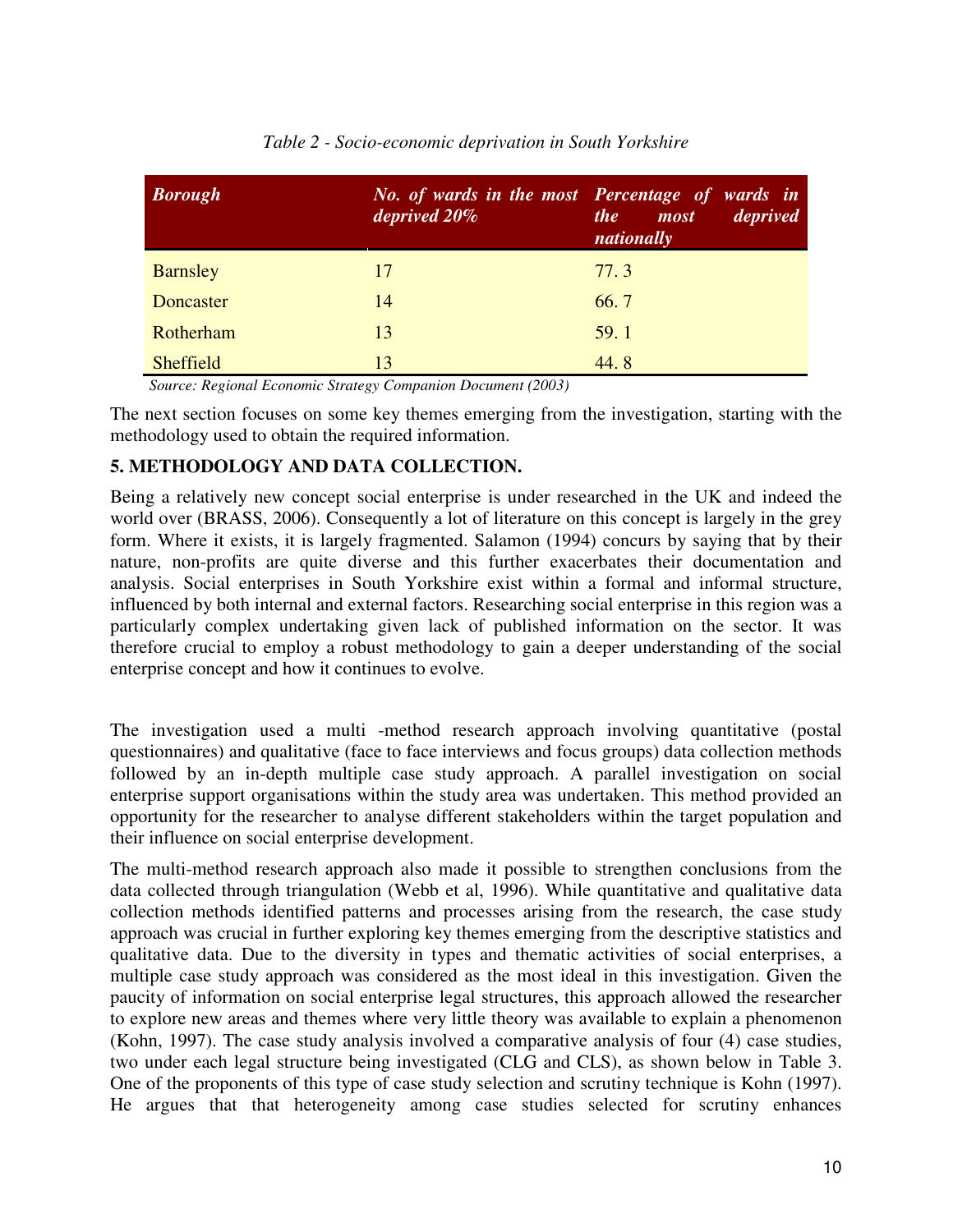| <b>Borough</b>   | deprived 20% | No. of wards in the most Percentage of wards in<br>deprived<br><i>the</i><br>most<br>nationally |
|------------------|--------------|-------------------------------------------------------------------------------------------------|
| <b>Barnsley</b>  | 17           | 77.3                                                                                            |
| Doncaster        | 14           | 66.7                                                                                            |
| Rotherham        | 13           | 59.1                                                                                            |
| <b>Sheffield</b> | 13           | 44.8                                                                                            |

# *Table 2 - Socio-economic deprivation in South Yorkshire*

 *Source: Regional Economic Strategy Companion Document (2003)* 

The next section focuses on some key themes emerging from the investigation, starting with the methodology used to obtain the required information.

# **5. METHODOLOGY AND DATA COLLECTION.**

Being a relatively new concept social enterprise is under researched in the UK and indeed the world over (BRASS, 2006). Consequently a lot of literature on this concept is largely in the grey form. Where it exists, it is largely fragmented. Salamon (1994) concurs by saying that by their nature, non-profits are quite diverse and this further exacerbates their documentation and analysis. Social enterprises in South Yorkshire exist within a formal and informal structure, influenced by both internal and external factors. Researching social enterprise in this region was a particularly complex undertaking given lack of published information on the sector. It was therefore crucial to employ a robust methodology to gain a deeper understanding of the social enterprise concept and how it continues to evolve.

The investigation used a multi -method research approach involving quantitative (postal questionnaires) and qualitative (face to face interviews and focus groups) data collection methods followed by an in-depth multiple case study approach. A parallel investigation on social enterprise support organisations within the study area was undertaken. This method provided an opportunity for the researcher to analyse different stakeholders within the target population and their influence on social enterprise development.

The multi-method research approach also made it possible to strengthen conclusions from the data collected through triangulation (Webb et al, 1996). While quantitative and qualitative data collection methods identified patterns and processes arising from the research, the case study approach was crucial in further exploring key themes emerging from the descriptive statistics and qualitative data. Due to the diversity in types and thematic activities of social enterprises, a multiple case study approach was considered as the most ideal in this investigation. Given the paucity of information on social enterprise legal structures, this approach allowed the researcher to explore new areas and themes where very little theory was available to explain a phenomenon (Kohn, 1997). The case study analysis involved a comparative analysis of four (4) case studies, two under each legal structure being investigated (CLG and CLS), as shown below in Table 3. One of the proponents of this type of case study selection and scrutiny technique is Kohn (1997). He argues that that heterogeneity among case studies selected for scrutiny enhances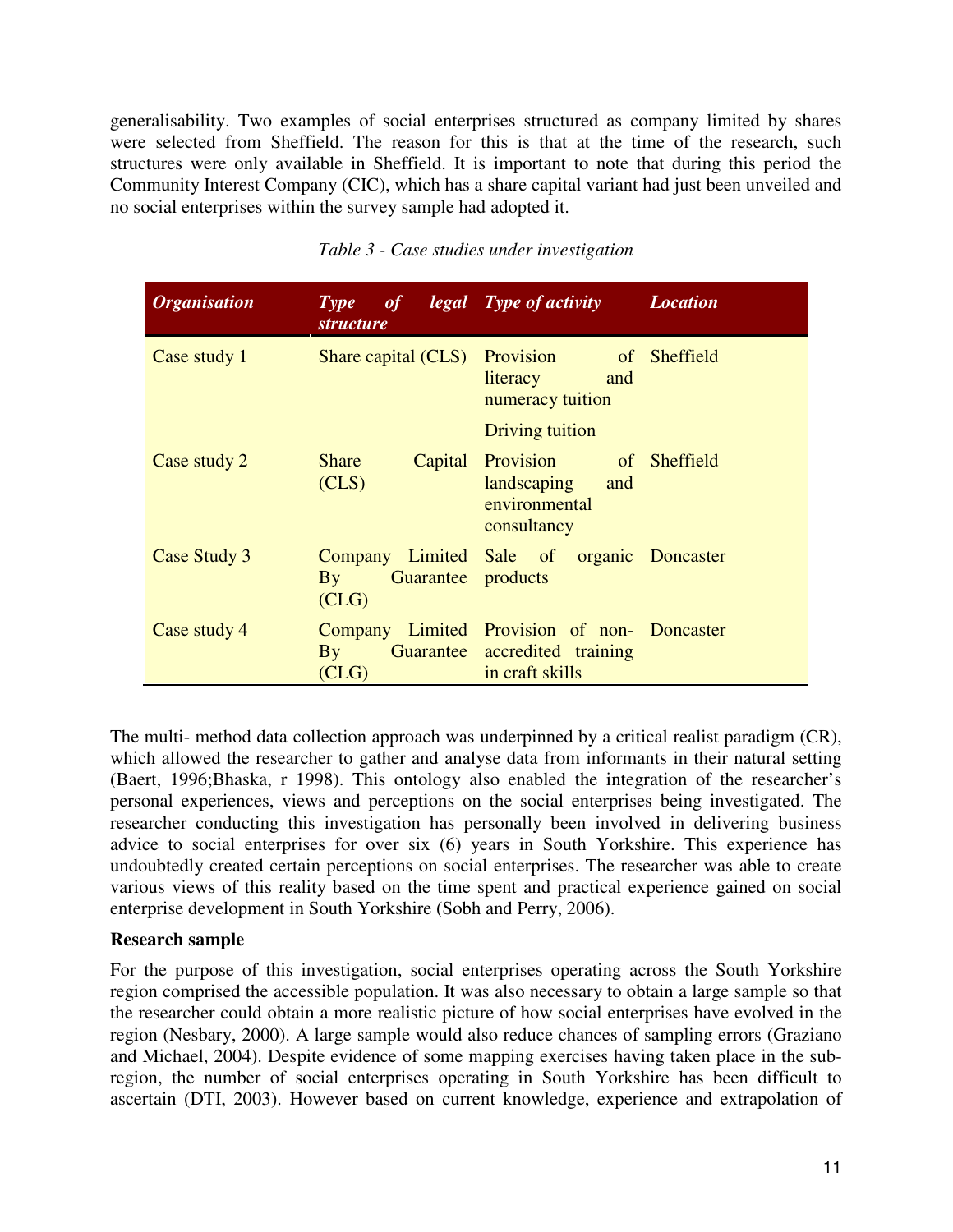generalisability. Two examples of social enterprises structured as company limited by shares were selected from Sheffield. The reason for this is that at the time of the research, such structures were only available in Sheffield. It is important to note that during this period the Community Interest Company (CIC), which has a share capital variant had just been unveiled and no social enterprises within the survey sample had adopted it.

| <b>Organisation</b> | Type of<br><i>structure</i>                         | legal Type of activity                                                                          | <i>Location</i> |
|---------------------|-----------------------------------------------------|-------------------------------------------------------------------------------------------------|-----------------|
| Case study 1        | Share capital (CLS)                                 | Provision of Sheffield<br>literacy<br>and<br>numeracy tuition                                   |                 |
|                     |                                                     | Driving tuition                                                                                 |                 |
| Case study 2        | <b>Share</b><br>(CLS)                               | Capital Provision of Sheffield<br>landscaping and<br>environmental<br>consultancy               |                 |
| Case Study 3        | Guarantee products<br>$\mathbf{B}\mathbf{v}$<br>CLG | Company Limited Sale of organic Doncaster                                                       |                 |
| Case study 4        | $\mathbf{B}\mathbf{v}$<br>(CLG)                     | Company Limited Provision of non- Doncaster<br>Guarantee accredited training<br>in craft skills |                 |

## *Table 3 - Case studies under investigation*

The multi- method data collection approach was underpinned by a critical realist paradigm (CR), which allowed the researcher to gather and analyse data from informants in their natural setting (Baert, 1996;Bhaska, r 1998). This ontology also enabled the integration of the researcher's personal experiences, views and perceptions on the social enterprises being investigated. The researcher conducting this investigation has personally been involved in delivering business advice to social enterprises for over six (6) years in South Yorkshire. This experience has undoubtedly created certain perceptions on social enterprises. The researcher was able to create various views of this reality based on the time spent and practical experience gained on social enterprise development in South Yorkshire (Sobh and Perry, 2006).

#### **Research sample**

For the purpose of this investigation, social enterprises operating across the South Yorkshire region comprised the accessible population. It was also necessary to obtain a large sample so that the researcher could obtain a more realistic picture of how social enterprises have evolved in the region (Nesbary, 2000). A large sample would also reduce chances of sampling errors (Graziano and Michael, 2004). Despite evidence of some mapping exercises having taken place in the subregion, the number of social enterprises operating in South Yorkshire has been difficult to ascertain (DTI, 2003). However based on current knowledge, experience and extrapolation of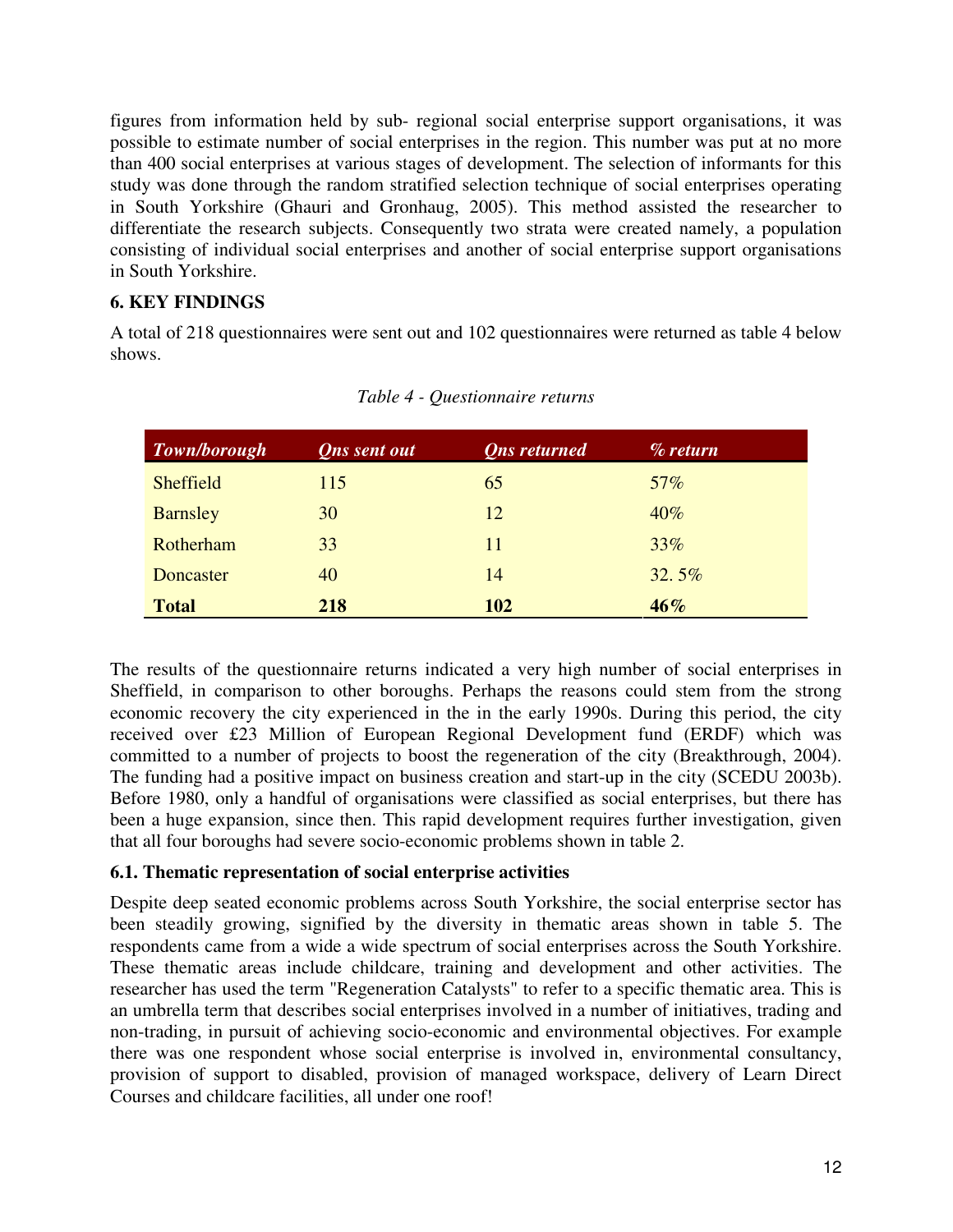figures from information held by sub- regional social enterprise support organisations, it was possible to estimate number of social enterprises in the region. This number was put at no more than 400 social enterprises at various stages of development. The selection of informants for this study was done through the random stratified selection technique of social enterprises operating in South Yorkshire (Ghauri and Gronhaug, 2005). This method assisted the researcher to differentiate the research subjects. Consequently two strata were created namely, a population consisting of individual social enterprises and another of social enterprise support organisations in South Yorkshire.

# **6. KEY FINDINGS**

A total of 218 questionnaires were sent out and 102 questionnaires were returned as table 4 below shows.

| Town/borough     | <b>Qns</b> sent out | <b>Ons</b> returned | $\%$ return |
|------------------|---------------------|---------------------|-------------|
| <b>Sheffield</b> | 115                 | 65                  | 57%         |
| <b>Barnsley</b>  | 30                  | 12                  | 40%         |
| Rotherham        | 33                  | 11                  | 33%         |
| Doncaster        | 40                  | 14                  | 32.5%       |
| <b>Total</b>     | 218                 | 102                 | $46\%$      |

*Table 4 - Questionnaire returns* 

The results of the questionnaire returns indicated a very high number of social enterprises in Sheffield, in comparison to other boroughs. Perhaps the reasons could stem from the strong economic recovery the city experienced in the in the early 1990s. During this period, the city received over £23 Million of European Regional Development fund (ERDF) which was committed to a number of projects to boost the regeneration of the city (Breakthrough, 2004). The funding had a positive impact on business creation and start-up in the city (SCEDU 2003b). Before 1980, only a handful of organisations were classified as social enterprises, but there has been a huge expansion, since then. This rapid development requires further investigation, given that all four boroughs had severe socio-economic problems shown in table 2.

#### **6.1. Thematic representation of social enterprise activities**

Despite deep seated economic problems across South Yorkshire, the social enterprise sector has been steadily growing, signified by the diversity in thematic areas shown in table 5. The respondents came from a wide a wide spectrum of social enterprises across the South Yorkshire. These thematic areas include childcare, training and development and other activities. The researcher has used the term "Regeneration Catalysts" to refer to a specific thematic area. This is an umbrella term that describes social enterprises involved in a number of initiatives, trading and non-trading, in pursuit of achieving socio-economic and environmental objectives. For example there was one respondent whose social enterprise is involved in, environmental consultancy, provision of support to disabled, provision of managed workspace, delivery of Learn Direct Courses and childcare facilities, all under one roof!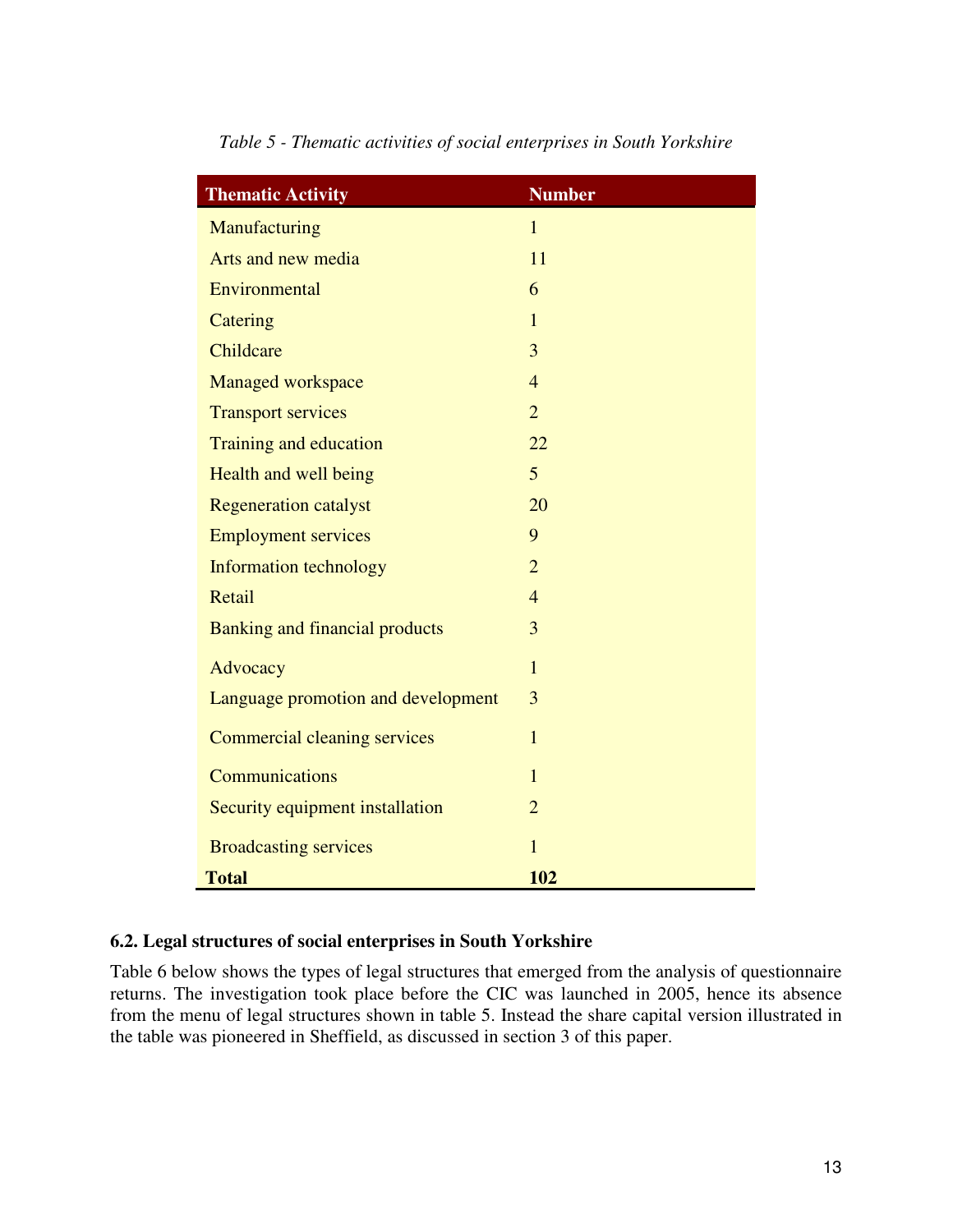| <b>Thematic Activity</b>              | <b>Number</b>  |
|---------------------------------------|----------------|
| Manufacturing                         | $\overline{1}$ |
| Arts and new media                    | 11             |
| Environmental                         | 6              |
| Catering                              | $\mathbf{1}$   |
| Childcare                             | 3              |
| Managed workspace                     | $\overline{4}$ |
| <b>Transport services</b>             | $\overline{2}$ |
| Training and education                | 22             |
| Health and well being                 | 5              |
| <b>Regeneration catalyst</b>          | 20             |
| <b>Employment services</b>            | 9              |
| <b>Information technology</b>         | $\overline{2}$ |
| Retail                                | $\overline{4}$ |
| <b>Banking and financial products</b> | 3              |
| Advocacy                              | $\overline{1}$ |
| Language promotion and development    | 3              |
| <b>Commercial cleaning services</b>   | $\mathbf{1}$   |
| <b>Communications</b>                 | $\mathbf{1}$   |
| Security equipment installation       | $\overline{2}$ |
| <b>Broadcasting services</b>          | $\mathbf{1}$   |
| <b>Total</b>                          | 102            |

*Table 5 - Thematic activities of social enterprises in South Yorkshire* 

# **6.2. Legal structures of social enterprises in South Yorkshire**

Table 6 below shows the types of legal structures that emerged from the analysis of questionnaire returns. The investigation took place before the CIC was launched in 2005, hence its absence from the menu of legal structures shown in table 5. Instead the share capital version illustrated in the table was pioneered in Sheffield, as discussed in section 3 of this paper.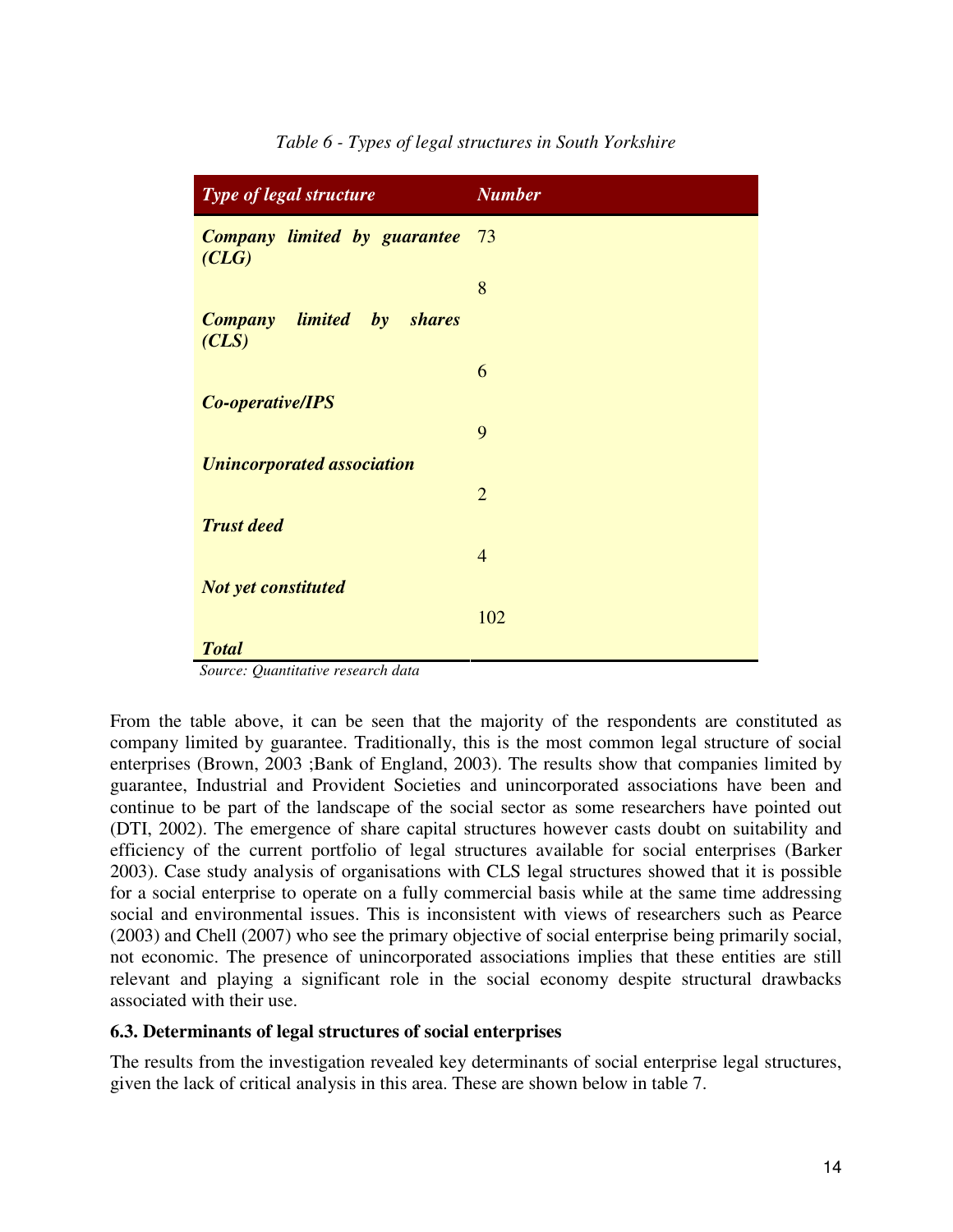| Type of legal structure                      | <b>Number</b>  |  |  |  |
|----------------------------------------------|----------------|--|--|--|
| <b>Company limited by guarantee</b><br>(CLG) | 73             |  |  |  |
|                                              | 8              |  |  |  |
| <b>Company</b> limited by shares<br>(CLS)    |                |  |  |  |
|                                              | 6              |  |  |  |
| Co-operative/IPS                             |                |  |  |  |
|                                              | 9              |  |  |  |
| <b>Unincorporated association</b>            |                |  |  |  |
|                                              | $\overline{2}$ |  |  |  |
| <b>Trust deed</b>                            |                |  |  |  |
|                                              | $\overline{4}$ |  |  |  |
| <b>Not yet constituted</b>                   |                |  |  |  |
|                                              | 102            |  |  |  |
| <b>Total</b>                                 |                |  |  |  |

*Table 6 - Types of legal structures in South Yorkshire* 

 *Source: Quantitative research data* 

From the table above, it can be seen that the majority of the respondents are constituted as company limited by guarantee. Traditionally, this is the most common legal structure of social enterprises (Brown, 2003 ;Bank of England, 2003). The results show that companies limited by guarantee, Industrial and Provident Societies and unincorporated associations have been and continue to be part of the landscape of the social sector as some researchers have pointed out (DTI, 2002). The emergence of share capital structures however casts doubt on suitability and efficiency of the current portfolio of legal structures available for social enterprises (Barker 2003). Case study analysis of organisations with CLS legal structures showed that it is possible for a social enterprise to operate on a fully commercial basis while at the same time addressing social and environmental issues. This is inconsistent with views of researchers such as Pearce (2003) and Chell (2007) who see the primary objective of social enterprise being primarily social, not economic. The presence of unincorporated associations implies that these entities are still relevant and playing a significant role in the social economy despite structural drawbacks associated with their use.

#### **6.3. Determinants of legal structures of social enterprises**

The results from the investigation revealed key determinants of social enterprise legal structures, given the lack of critical analysis in this area. These are shown below in table 7.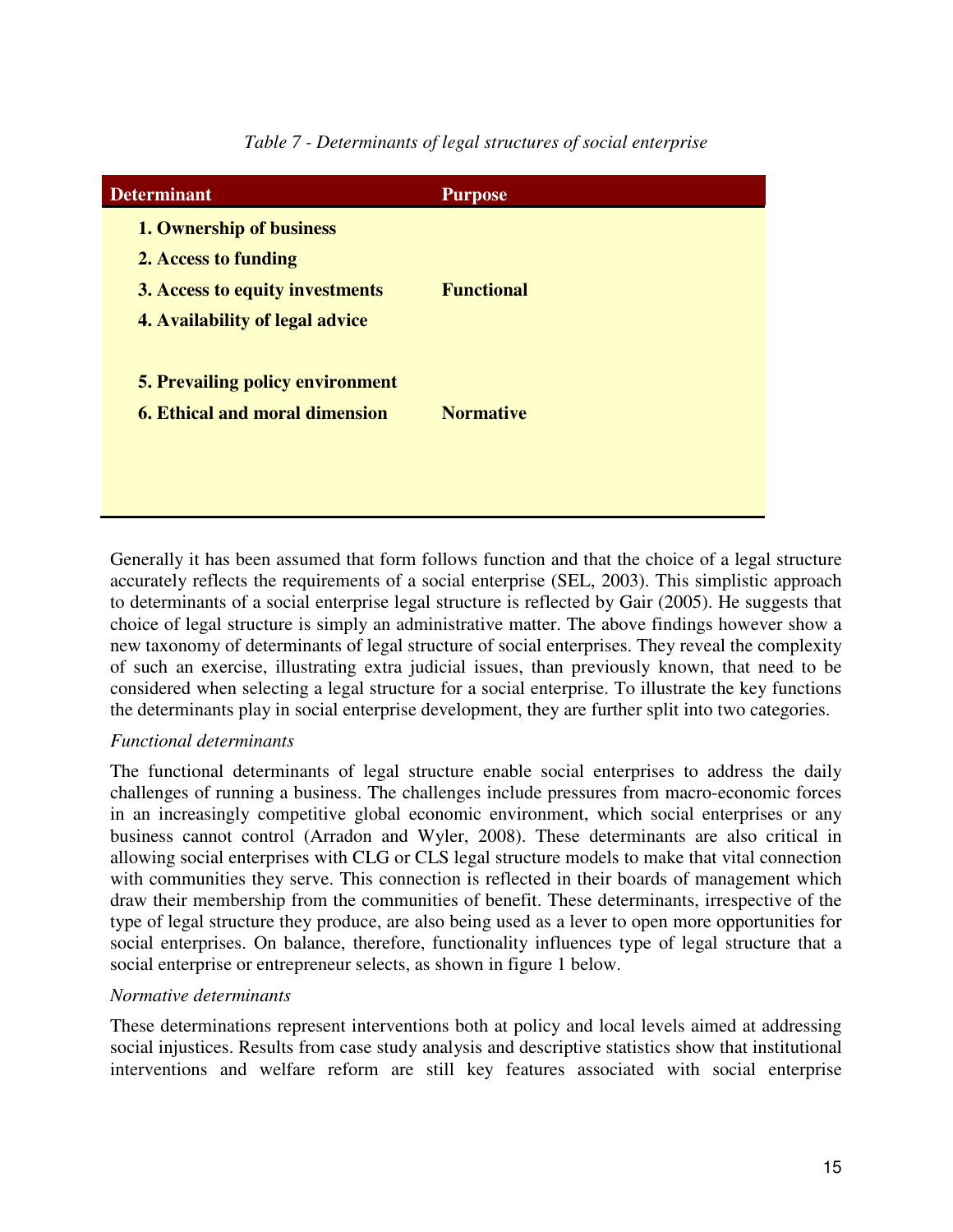| <b>Determinant</b>                      | <b>Purpose</b>    |
|-----------------------------------------|-------------------|
| 1. Ownership of business                |                   |
| 2. Access to funding                    |                   |
| 3. Access to equity investments         | <b>Functional</b> |
| 4. Availability of legal advice         |                   |
| <b>5. Prevailing policy environment</b> |                   |
| <b>6. Ethical and moral dimension</b>   | <b>Normative</b>  |
|                                         |                   |
|                                         |                   |

*Table 7 - Determinants of legal structures of social enterprise* 

Generally it has been assumed that form follows function and that the choice of a legal structure accurately reflects the requirements of a social enterprise (SEL, 2003). This simplistic approach to determinants of a social enterprise legal structure is reflected by Gair (2005). He suggests that choice of legal structure is simply an administrative matter. The above findings however show a new taxonomy of determinants of legal structure of social enterprises. They reveal the complexity of such an exercise, illustrating extra judicial issues, than previously known, that need to be considered when selecting a legal structure for a social enterprise. To illustrate the key functions the determinants play in social enterprise development, they are further split into two categories.

# *Functional determinants*

The functional determinants of legal structure enable social enterprises to address the daily challenges of running a business. The challenges include pressures from macro-economic forces in an increasingly competitive global economic environment, which social enterprises or any business cannot control (Arradon and Wyler, 2008). These determinants are also critical in allowing social enterprises with CLG or CLS legal structure models to make that vital connection with communities they serve. This connection is reflected in their boards of management which draw their membership from the communities of benefit. These determinants, irrespective of the type of legal structure they produce, are also being used as a lever to open more opportunities for social enterprises. On balance, therefore, functionality influences type of legal structure that a social enterprise or entrepreneur selects, as shown in figure 1 below.

#### *Normative determinants*

These determinations represent interventions both at policy and local levels aimed at addressing social injustices. Results from case study analysis and descriptive statistics show that institutional interventions and welfare reform are still key features associated with social enterprise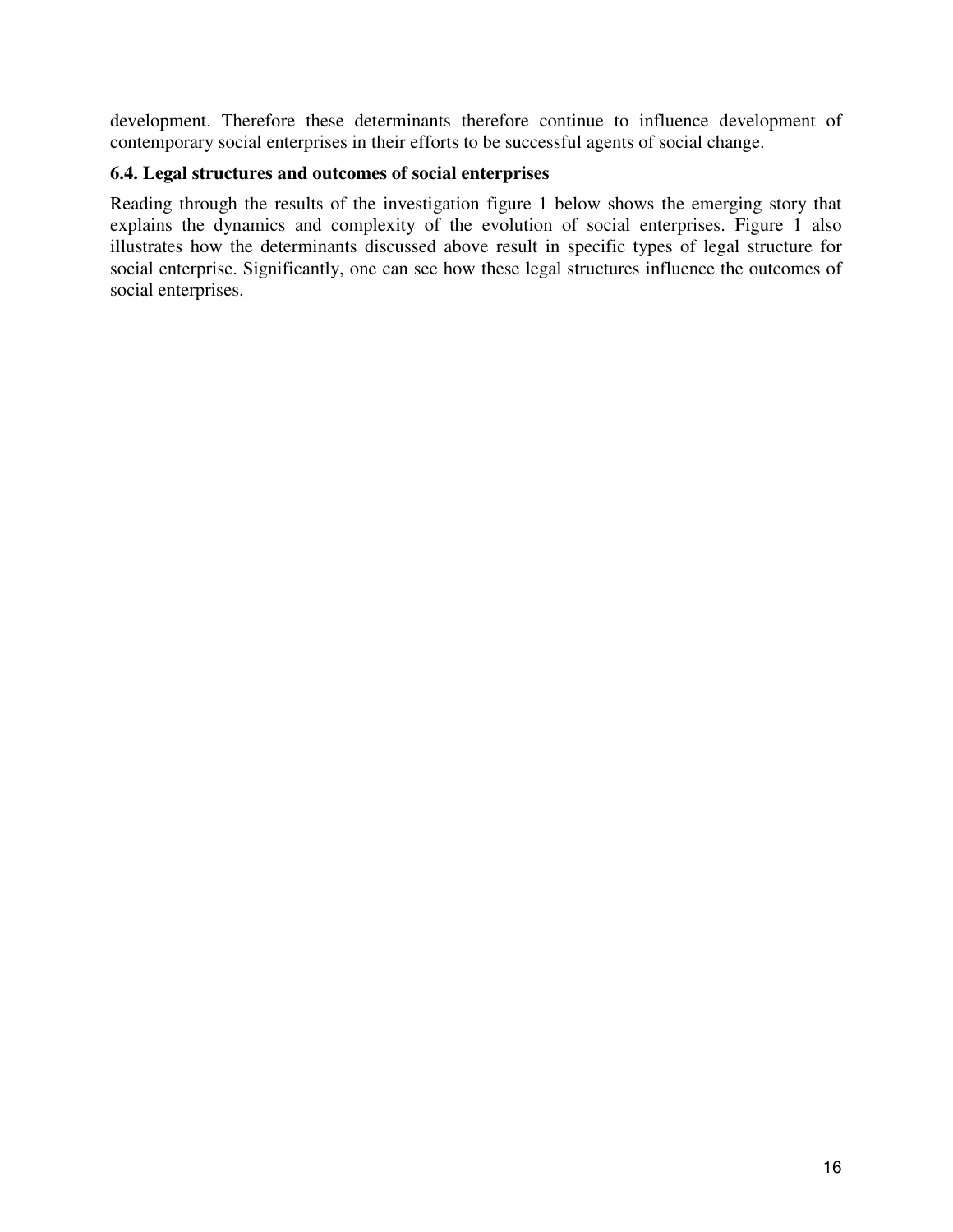development. Therefore these determinants therefore continue to influence development of contemporary social enterprises in their efforts to be successful agents of social change.

# **6.4. Legal structures and outcomes of social enterprises**

Reading through the results of the investigation figure 1 below shows the emerging story that explains the dynamics and complexity of the evolution of social enterprises. Figure 1 also illustrates how the determinants discussed above result in specific types of legal structure for social enterprise. Significantly, one can see how these legal structures influence the outcomes of social enterprises.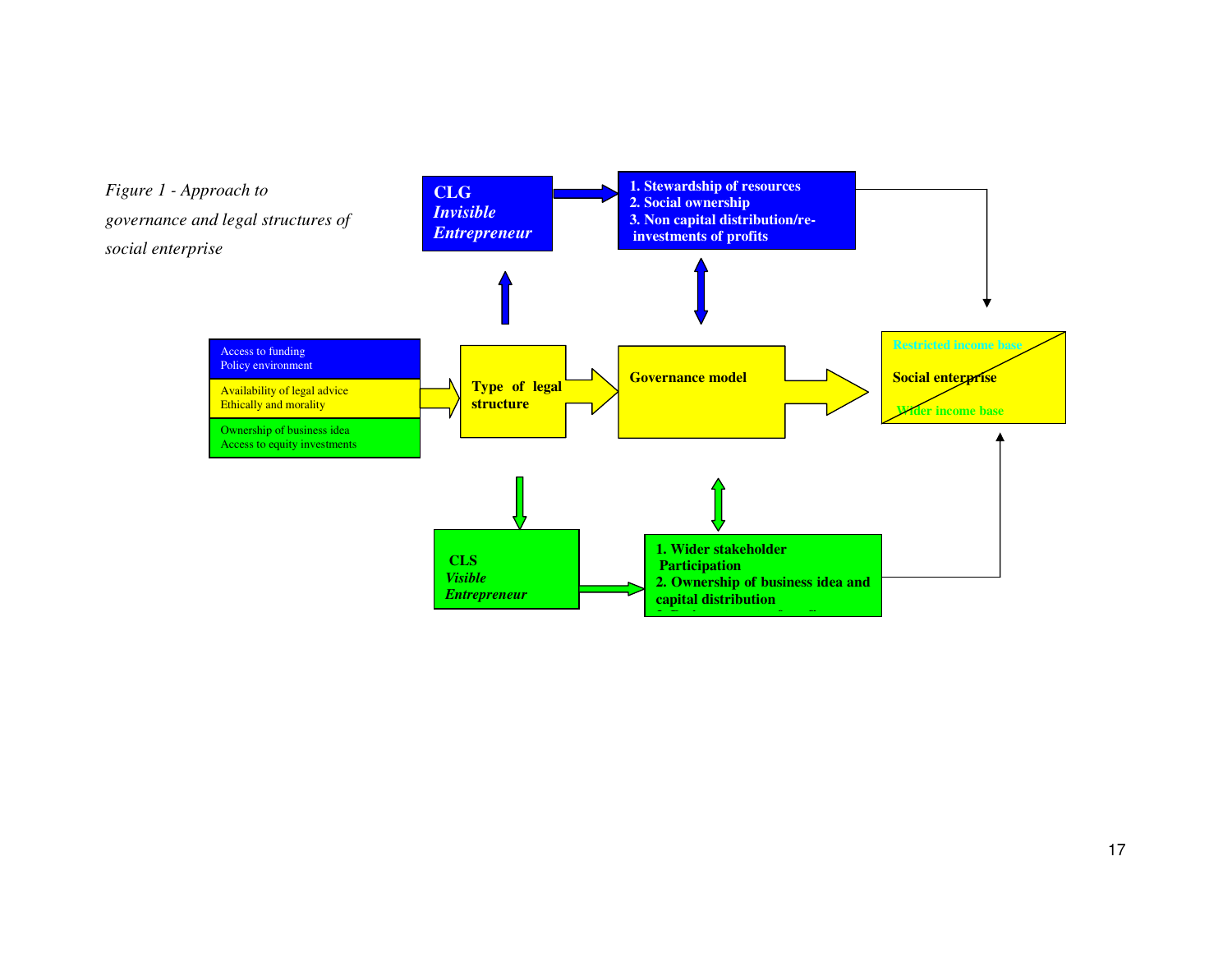

17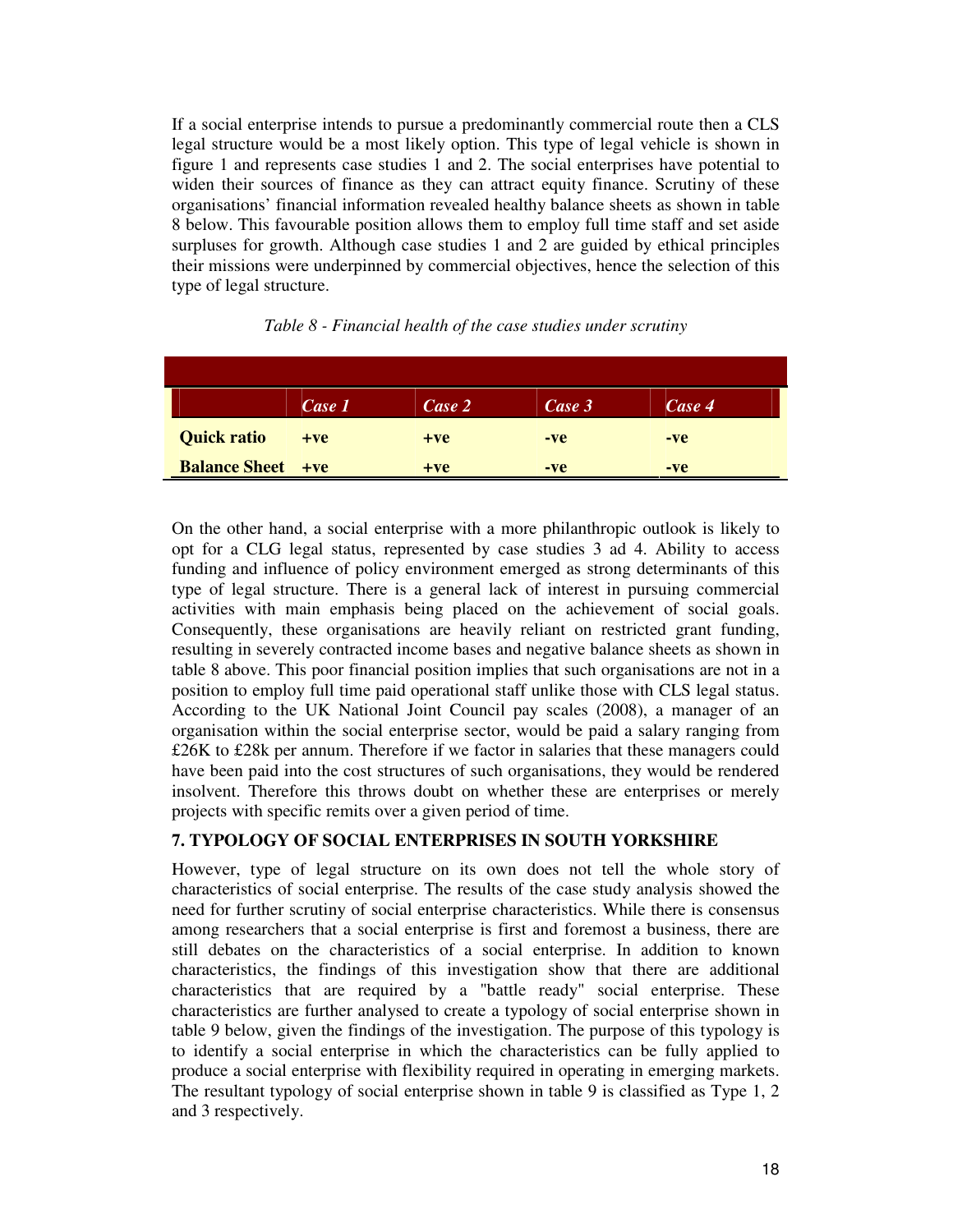If a social enterprise intends to pursue a predominantly commercial route then a CLS legal structure would be a most likely option. This type of legal vehicle is shown in figure 1 and represents case studies 1 and 2. The social enterprises have potential to widen their sources of finance as they can attract equity finance. Scrutiny of these organisations' financial information revealed healthy balance sheets as shown in table 8 below. This favourable position allows them to employ full time staff and set aside surpluses for growth. Although case studies 1 and 2 are guided by ethical principles their missions were underpinned by commercial objectives, hence the selection of this type of legal structure.

|                          | Case 1 | Case 2 | Case 3 | Case 4 |
|--------------------------|--------|--------|--------|--------|
| <b>Quick ratio</b>       | $+ve$  | $+ve$  | $-ve$  | -ve    |
| <b>Balance Sheet +ve</b> |        | $+ve$  | $-ve$  | $-ve$  |

| Table 8 - Financial health of the case studies under scrutiny |  |  |  |
|---------------------------------------------------------------|--|--|--|
|---------------------------------------------------------------|--|--|--|

On the other hand, a social enterprise with a more philanthropic outlook is likely to opt for a CLG legal status, represented by case studies 3 ad 4. Ability to access funding and influence of policy environment emerged as strong determinants of this type of legal structure. There is a general lack of interest in pursuing commercial activities with main emphasis being placed on the achievement of social goals. Consequently, these organisations are heavily reliant on restricted grant funding, resulting in severely contracted income bases and negative balance sheets as shown in table 8 above. This poor financial position implies that such organisations are not in a position to employ full time paid operational staff unlike those with CLS legal status. According to the UK National Joint Council pay scales (2008), a manager of an organisation within the social enterprise sector, would be paid a salary ranging from £26K to £28k per annum. Therefore if we factor in salaries that these managers could have been paid into the cost structures of such organisations, they would be rendered insolvent. Therefore this throws doubt on whether these are enterprises or merely projects with specific remits over a given period of time.

#### **7. TYPOLOGY OF SOCIAL ENTERPRISES IN SOUTH YORKSHIRE**

However, type of legal structure on its own does not tell the whole story of characteristics of social enterprise. The results of the case study analysis showed the need for further scrutiny of social enterprise characteristics. While there is consensus among researchers that a social enterprise is first and foremost a business, there are still debates on the characteristics of a social enterprise. In addition to known characteristics, the findings of this investigation show that there are additional characteristics that are required by a "battle ready" social enterprise. These characteristics are further analysed to create a typology of social enterprise shown in table 9 below, given the findings of the investigation. The purpose of this typology is to identify a social enterprise in which the characteristics can be fully applied to produce a social enterprise with flexibility required in operating in emerging markets. The resultant typology of social enterprise shown in table 9 is classified as Type 1, 2 and 3 respectively.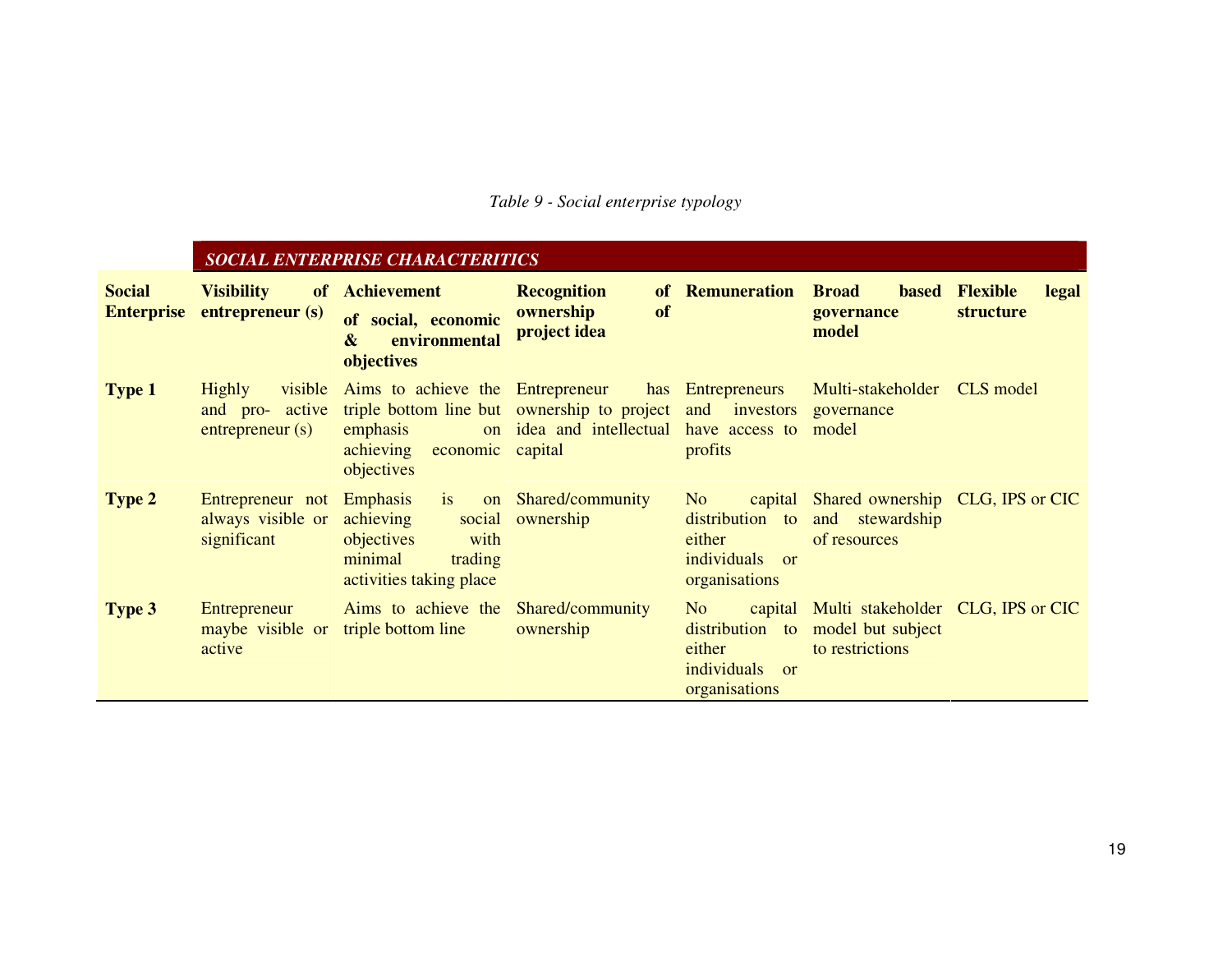## *Table 9 - Social enterprise typology*

|                                    |                                                                  | <b>SOCIAL ENTERPRISE CHARACTERITICS</b>                                                                                                                          |                                                              |                                                                                         |                                                                                   |                                              |
|------------------------------------|------------------------------------------------------------------|------------------------------------------------------------------------------------------------------------------------------------------------------------------|--------------------------------------------------------------|-----------------------------------------------------------------------------------------|-----------------------------------------------------------------------------------|----------------------------------------------|
| <b>Social</b><br><b>Enterprise</b> | <b>Visibility</b><br>of<br>entrepreneur (s)                      | <b>Achievement</b><br>of social, economic<br>environmental<br>$\boldsymbol{\&}$<br>objectives                                                                    | <b>Recognition</b><br><b>of</b><br>ownership<br>project idea | of Remuneration                                                                         | <b>Broad</b><br><b>based</b><br>governance<br>model                               | <b>Flexible</b><br>legal<br><b>structure</b> |
| <b>Type 1</b>                      | Highly<br>active<br>and pro-<br>entrepreneur(s)                  | visible Aims to achieve the Entrepreneur<br>triple bottom line but ownership to project and investors<br>emphasis<br>achieving<br>economic capital<br>objectives | on idea and intellectual have access to                      | has Entrepreneurs<br>profits                                                            | Multi-stakeholder<br>governance<br>model                                          | CLS model                                    |
| Type 2                             | Entrepreneur not Emphasis is<br>always visible or<br>significant | achieving<br>objectives<br>with<br>minimal<br>trading<br>activities taking place                                                                                 | on Shared/community<br>social ownership                      | N <sub>o</sub><br>distribution to<br>either<br>individuals<br>$\alpha$<br>organisations | capital Shared ownership CLG, IPS or CIC<br>and stewardship<br>of resources       |                                              |
| <b>Type 3</b>                      | Entrepreneur<br>maybe visible or<br>active                       | Aims to achieve the Shared/community<br>triple bottom line                                                                                                       | ownership                                                    | N <sub>o</sub><br>distribution to<br>either<br>individuals or<br>organisations          | capital Multi stakeholder CLG, IPS or CIC<br>model but subject<br>to restrictions |                                              |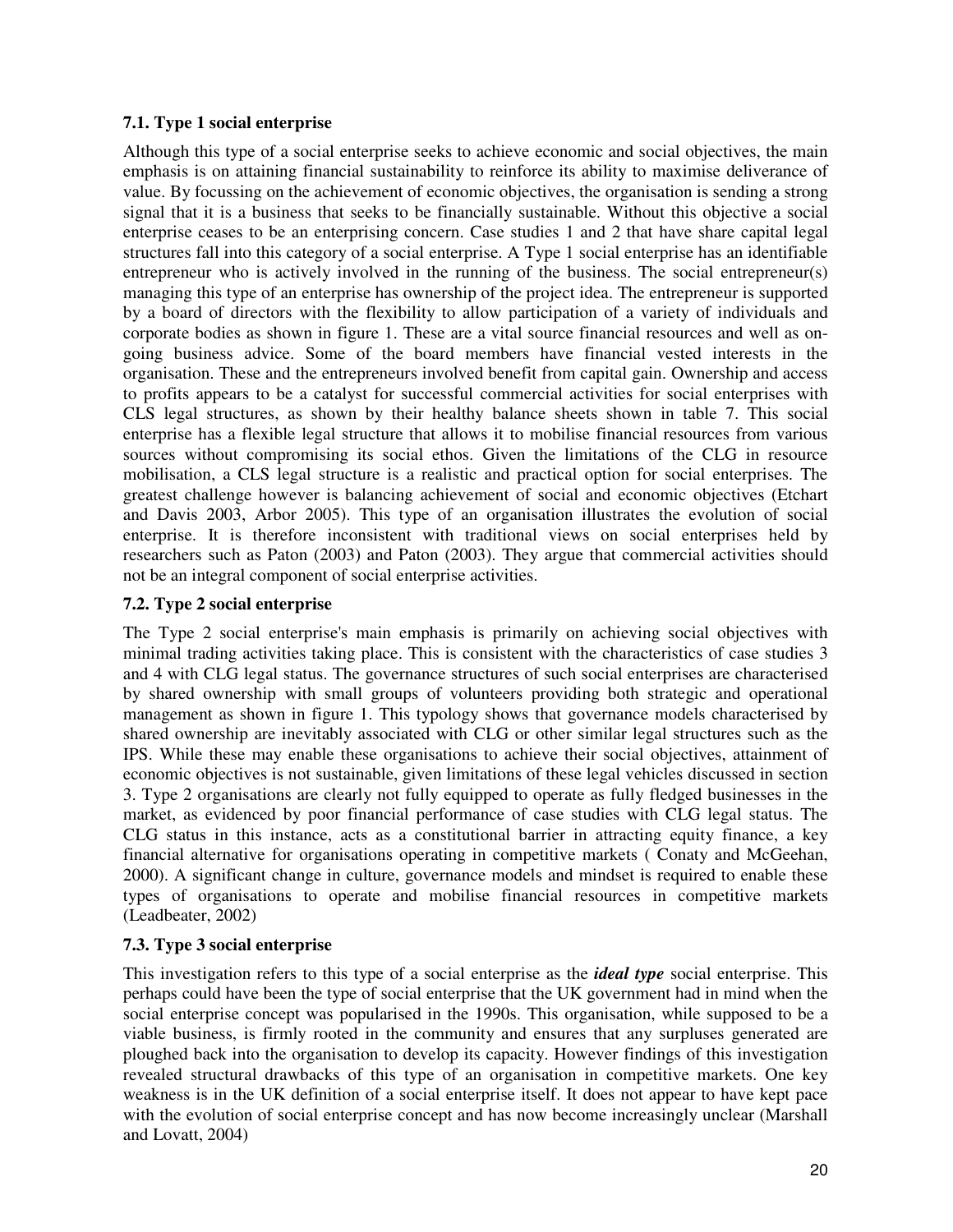#### **7.1. Type 1 social enterprise**

Although this type of a social enterprise seeks to achieve economic and social objectives, the main emphasis is on attaining financial sustainability to reinforce its ability to maximise deliverance of value. By focussing on the achievement of economic objectives, the organisation is sending a strong signal that it is a business that seeks to be financially sustainable. Without this objective a social enterprise ceases to be an enterprising concern. Case studies 1 and 2 that have share capital legal structures fall into this category of a social enterprise. A Type 1 social enterprise has an identifiable entrepreneur who is actively involved in the running of the business. The social entrepreneur(s) managing this type of an enterprise has ownership of the project idea. The entrepreneur is supported by a board of directors with the flexibility to allow participation of a variety of individuals and corporate bodies as shown in figure 1. These are a vital source financial resources and well as ongoing business advice. Some of the board members have financial vested interests in the organisation. These and the entrepreneurs involved benefit from capital gain. Ownership and access to profits appears to be a catalyst for successful commercial activities for social enterprises with CLS legal structures, as shown by their healthy balance sheets shown in table 7. This social enterprise has a flexible legal structure that allows it to mobilise financial resources from various sources without compromising its social ethos. Given the limitations of the CLG in resource mobilisation, a CLS legal structure is a realistic and practical option for social enterprises. The greatest challenge however is balancing achievement of social and economic objectives (Etchart and Davis 2003, Arbor 2005). This type of an organisation illustrates the evolution of social enterprise. It is therefore inconsistent with traditional views on social enterprises held by researchers such as Paton (2003) and Paton (2003). They argue that commercial activities should not be an integral component of social enterprise activities.

#### **7.2. Type 2 social enterprise**

The Type 2 social enterprise's main emphasis is primarily on achieving social objectives with minimal trading activities taking place. This is consistent with the characteristics of case studies 3 and 4 with CLG legal status. The governance structures of such social enterprises are characterised by shared ownership with small groups of volunteers providing both strategic and operational management as shown in figure 1. This typology shows that governance models characterised by shared ownership are inevitably associated with CLG or other similar legal structures such as the IPS. While these may enable these organisations to achieve their social objectives, attainment of economic objectives is not sustainable, given limitations of these legal vehicles discussed in section 3. Type 2 organisations are clearly not fully equipped to operate as fully fledged businesses in the market, as evidenced by poor financial performance of case studies with CLG legal status. The CLG status in this instance, acts as a constitutional barrier in attracting equity finance, a key financial alternative for organisations operating in competitive markets ( Conaty and McGeehan, 2000). A significant change in culture, governance models and mindset is required to enable these types of organisations to operate and mobilise financial resources in competitive markets (Leadbeater, 2002)

#### **7.3. Type 3 social enterprise**

This investigation refers to this type of a social enterprise as the *ideal type* social enterprise. This perhaps could have been the type of social enterprise that the UK government had in mind when the social enterprise concept was popularised in the 1990s. This organisation, while supposed to be a viable business, is firmly rooted in the community and ensures that any surpluses generated are ploughed back into the organisation to develop its capacity. However findings of this investigation revealed structural drawbacks of this type of an organisation in competitive markets. One key weakness is in the UK definition of a social enterprise itself. It does not appear to have kept pace with the evolution of social enterprise concept and has now become increasingly unclear (Marshall and Lovatt, 2004)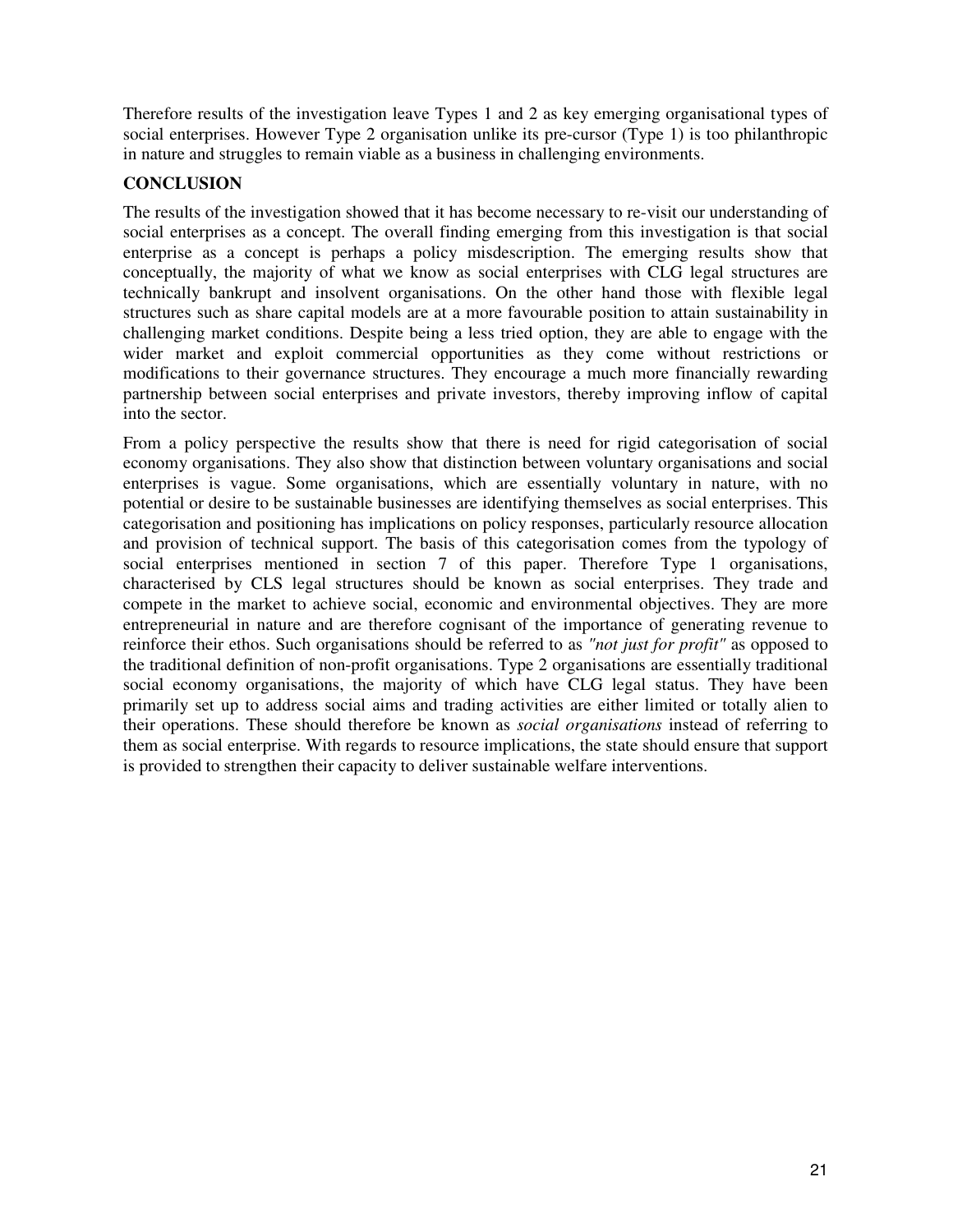Therefore results of the investigation leave Types 1 and 2 as key emerging organisational types of social enterprises. However Type 2 organisation unlike its pre-cursor (Type 1) is too philanthropic in nature and struggles to remain viable as a business in challenging environments.

## **CONCLUSION**

The results of the investigation showed that it has become necessary to re-visit our understanding of social enterprises as a concept. The overall finding emerging from this investigation is that social enterprise as a concept is perhaps a policy misdescription. The emerging results show that conceptually, the majority of what we know as social enterprises with CLG legal structures are technically bankrupt and insolvent organisations. On the other hand those with flexible legal structures such as share capital models are at a more favourable position to attain sustainability in challenging market conditions. Despite being a less tried option, they are able to engage with the wider market and exploit commercial opportunities as they come without restrictions or modifications to their governance structures. They encourage a much more financially rewarding partnership between social enterprises and private investors, thereby improving inflow of capital into the sector.

From a policy perspective the results show that there is need for rigid categorisation of social economy organisations. They also show that distinction between voluntary organisations and social enterprises is vague. Some organisations, which are essentially voluntary in nature, with no potential or desire to be sustainable businesses are identifying themselves as social enterprises. This categorisation and positioning has implications on policy responses, particularly resource allocation and provision of technical support. The basis of this categorisation comes from the typology of social enterprises mentioned in section 7 of this paper. Therefore Type 1 organisations, characterised by CLS legal structures should be known as social enterprises. They trade and compete in the market to achieve social, economic and environmental objectives. They are more entrepreneurial in nature and are therefore cognisant of the importance of generating revenue to reinforce their ethos. Such organisations should be referred to as *"not just for profit"* as opposed to the traditional definition of non-profit organisations. Type 2 organisations are essentially traditional social economy organisations, the majority of which have CLG legal status. They have been primarily set up to address social aims and trading activities are either limited or totally alien to their operations. These should therefore be known as *social organisations* instead of referring to them as social enterprise. With regards to resource implications, the state should ensure that support is provided to strengthen their capacity to deliver sustainable welfare interventions.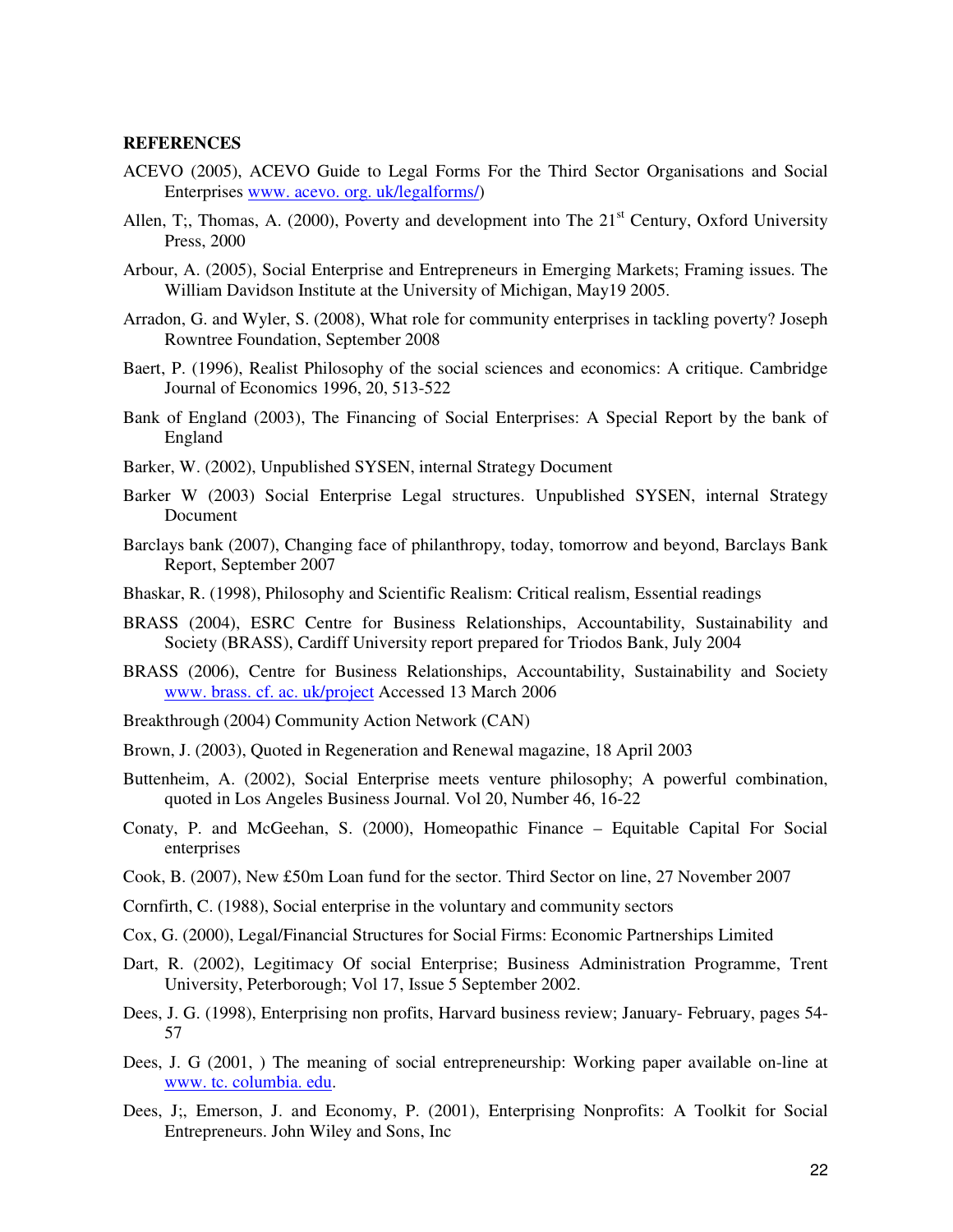#### **REFERENCES**

- ACEVO (2005), ACEVO Guide to Legal Forms For the Third Sector Organisations and Social Enterprises www. acevo. org. uk/legalforms/)
- Allen, T;, Thomas, A. (2000), Poverty and development into The  $21<sup>st</sup>$  Century, Oxford University Press, 2000
- Arbour, A. (2005), Social Enterprise and Entrepreneurs in Emerging Markets; Framing issues. The William Davidson Institute at the University of Michigan, May19 2005.
- Arradon, G. and Wyler, S. (2008), What role for community enterprises in tackling poverty? Joseph Rowntree Foundation, September 2008
- Baert, P. (1996), Realist Philosophy of the social sciences and economics: A critique. Cambridge Journal of Economics 1996, 20, 513-522
- Bank of England (2003), The Financing of Social Enterprises: A Special Report by the bank of England
- Barker, W. (2002), Unpublished SYSEN, internal Strategy Document
- Barker W (2003) Social Enterprise Legal structures. Unpublished SYSEN, internal Strategy Document
- Barclays bank (2007), Changing face of philanthropy, today, tomorrow and beyond, Barclays Bank Report, September 2007
- Bhaskar, R. (1998), Philosophy and Scientific Realism: Critical realism, Essential readings
- BRASS (2004), ESRC Centre for Business Relationships, Accountability, Sustainability and Society (BRASS), Cardiff University report prepared for Triodos Bank, July 2004
- BRASS (2006), Centre for Business Relationships, Accountability, Sustainability and Society www. brass. cf. ac. uk/project Accessed 13 March 2006
- Breakthrough (2004) Community Action Network (CAN)
- Brown, J. (2003), Quoted in Regeneration and Renewal magazine, 18 April 2003
- Buttenheim, A. (2002), Social Enterprise meets venture philosophy; A powerful combination, quoted in Los Angeles Business Journal. Vol 20, Number 46, 16-22
- Conaty, P. and McGeehan, S. (2000), Homeopathic Finance Equitable Capital For Social enterprises
- Cook, B. (2007), New £50m Loan fund for the sector. Third Sector on line, 27 November 2007
- Cornfirth, C. (1988), Social enterprise in the voluntary and community sectors
- Cox, G. (2000), Legal/Financial Structures for Social Firms: Economic Partnerships Limited
- Dart, R. (2002), Legitimacy Of social Enterprise; Business Administration Programme, Trent University, Peterborough; Vol 17, Issue 5 September 2002.
- Dees, J. G. (1998), Enterprising non profits, Harvard business review; January- February, pages 54- 57
- Dees, J. G (2001, ) The meaning of social entrepreneurship: Working paper available on-line at www. tc. columbia. edu.
- Dees, J;, Emerson, J. and Economy, P. (2001), Enterprising Nonprofits: A Toolkit for Social Entrepreneurs. John Wiley and Sons, Inc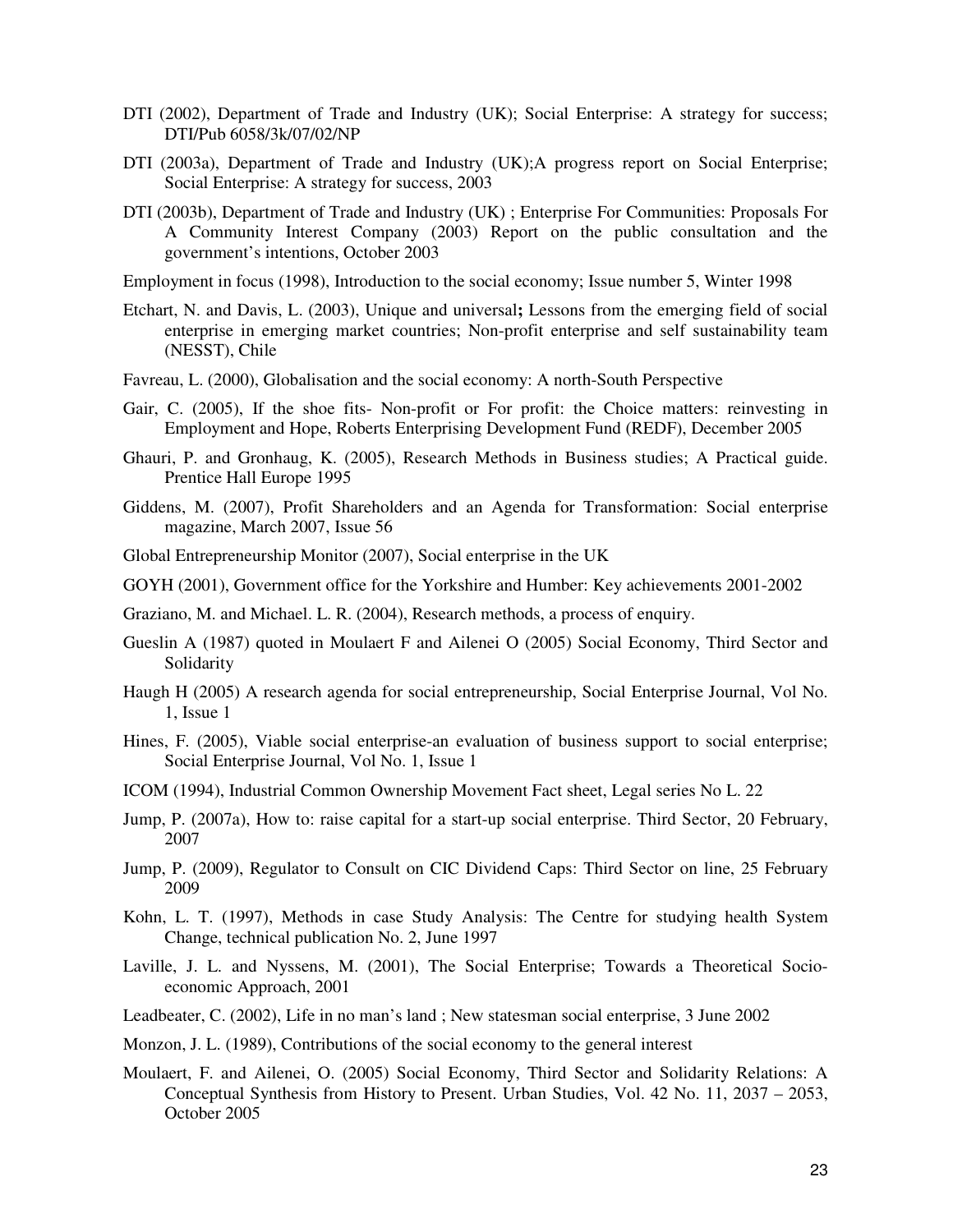- DTI (2002), Department of Trade and Industry (UK); Social Enterprise: A strategy for success; DTI/Pub 6058/3k/07/02/NP
- DTI (2003a), Department of Trade and Industry (UK);A progress report on Social Enterprise; Social Enterprise: A strategy for success, 2003
- DTI (2003b), Department of Trade and Industry (UK) ; Enterprise For Communities: Proposals For A Community Interest Company (2003) Report on the public consultation and the government's intentions, October 2003

Employment in focus (1998), Introduction to the social economy; Issue number 5, Winter 1998

- Etchart, N. and Davis, L. (2003), Unique and universal**;** Lessons from the emerging field of social enterprise in emerging market countries; Non-profit enterprise and self sustainability team (NESST), Chile
- Favreau, L. (2000), Globalisation and the social economy: A north-South Perspective
- Gair, C. (2005), If the shoe fits- Non-profit or For profit: the Choice matters: reinvesting in Employment and Hope, Roberts Enterprising Development Fund (REDF), December 2005
- Ghauri, P. and Gronhaug, K. (2005), Research Methods in Business studies; A Practical guide. Prentice Hall Europe 1995
- Giddens, M. (2007), Profit Shareholders and an Agenda for Transformation: Social enterprise magazine, March 2007, Issue 56
- Global Entrepreneurship Monitor (2007), Social enterprise in the UK
- GOYH (2001), Government office for the Yorkshire and Humber: Key achievements 2001-2002
- Graziano, M. and Michael. L. R. (2004), Research methods, a process of enquiry.
- Gueslin A (1987) quoted in Moulaert F and Ailenei O (2005) Social Economy, Third Sector and Solidarity
- Haugh H (2005) A research agenda for social entrepreneurship, Social Enterprise Journal, Vol No. 1, Issue 1
- Hines, F. (2005), Viable social enterprise-an evaluation of business support to social enterprise; Social Enterprise Journal, Vol No. 1, Issue 1
- ICOM (1994), Industrial Common Ownership Movement Fact sheet, Legal series No L. 22
- Jump, P. (2007a), How to: raise capital for a start-up social enterprise. Third Sector, 20 February, 2007
- Jump, P. (2009), Regulator to Consult on CIC Dividend Caps: Third Sector on line, 25 February 2009
- Kohn, L. T. (1997), Methods in case Study Analysis: The Centre for studying health System Change, technical publication No. 2, June 1997
- Laville, J. L. and Nyssens, M. (2001), The Social Enterprise; Towards a Theoretical Socioeconomic Approach, 2001
- Leadbeater, C. (2002), Life in no man's land ; New statesman social enterprise, 3 June 2002
- Monzon, J. L. (1989), Contributions of the social economy to the general interest
- Moulaert, F. and Ailenei, O. (2005) Social Economy, Third Sector and Solidarity Relations: A Conceptual Synthesis from History to Present. Urban Studies, Vol. 42 No. 11, 2037 – 2053, October 2005